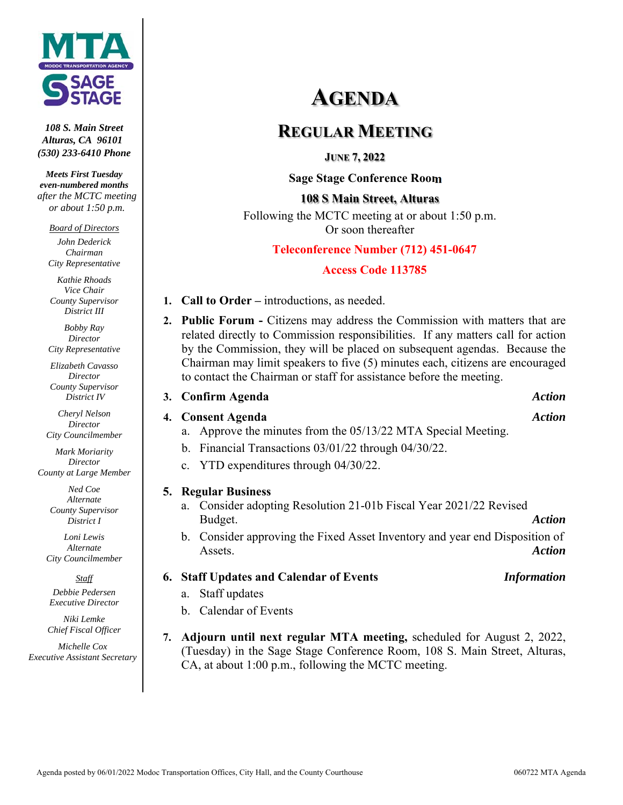

*108 S. Main Street Alturas, CA 96101 (530) 233-6410 Phone* 

*Meets First Tuesday even-numbered months after the MCTC meeting or about 1:50 p.m.* 

*Board of Directors* 

*John Dederick Chairman City Representative* 

*Kathie Rhoads Vice Chair County Supervisor District III* 

*Bobby Ray Director City Representative* 

*Elizabeth Cavasso Director County Supervisor District IV* 

*Cheryl Nelson Director City Councilmember* 

*Mark Moriarity Director County at Large Member* 

> *Ned Coe Alternate County Supervisor District I*

*Loni Lewis Alternate City Councilmember* 

*Staff* 

*Debbie Pedersen Executive Director* 

*Niki Lemke Chief Fiscal Officer* 

*Michelle Cox Executive Assistant Secretary* 

# **AGENDA**

# **REGULAR MEETING**

**JUNE 7, 2022** 

 **Sage Stage Conference Room**

**108 S Main Street, Alturas**  Following the MCTC meeting at or about 1:50 p.m. Or soon thereafter

## **Teleconference Number (712) 451-0647**

## **Access Code 113785**

- **1. Call to Order** introductions, as needed.
- **2. Public Forum** Citizens may address the Commission with matters that are related directly to Commission responsibilities. If any matters call for action by the Commission, they will be placed on subsequent agendas. Because the Chairman may limit speakers to five (5) minutes each, citizens are encouraged to contact the Chairman or staff for assistance before the meeting.

#### **3. Confirm Agenda** *Action*

## **4. Consent Agenda** *Action*

- a. Approve the minutes from the 05/13/22 MTA Special Meeting.
- b. Financial Transactions 03/01/22 through 04/30/22.
- c. YTD expenditures through 04/30/22.

## **5. Regular Business**

- a. Consider adopting Resolution 21-01b Fiscal Year 2021/22 Revised Budget. *Action*
- b. Consider approving the Fixed Asset Inventory and year end Disposition of Assets. *Action*
- **6. Staff Updates and Calendar of Events** *Information*

- a. Staff updates
- b. Calendar of Events
- **7. Adjourn until next regular MTA meeting,** scheduled for August 2, 2022, (Tuesday) in the Sage Stage Conference Room, 108 S. Main Street, Alturas, CA, at about 1:00 p.m., following the MCTC meeting.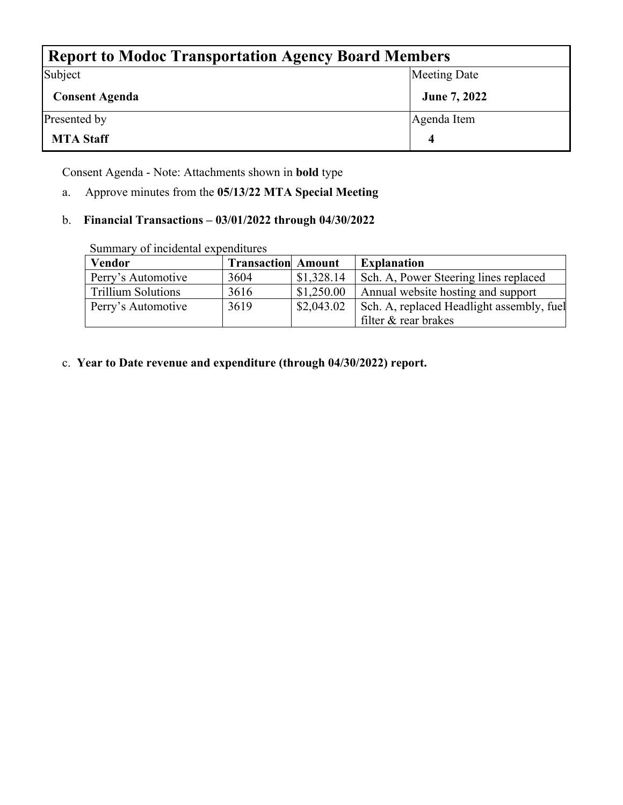| <b>Report to Modoc Transportation Agency Board Members</b> |              |  |  |  |  |  |
|------------------------------------------------------------|--------------|--|--|--|--|--|
| Subject                                                    | Meeting Date |  |  |  |  |  |
| <b>Consent Agenda</b>                                      | June 7, 2022 |  |  |  |  |  |
| Presented by                                               | Agenda Item  |  |  |  |  |  |
| <b>MTA Staff</b>                                           |              |  |  |  |  |  |

Consent Agenda - Note: Attachments shown in **bold** type

a. Approve minutes from the **05/13/22 MTA Special Meeting**

## b. **Financial Transactions – 03/01/2022 through 04/30/2022**

| Sunniai v OI mendemai expenditures |                           |            |                                           |
|------------------------------------|---------------------------|------------|-------------------------------------------|
| <b>Vendor</b>                      | <b>Transaction Amount</b> |            | <b>Explanation</b>                        |
| Perry's Automotive                 | 3604                      | \$1,328.14 | Sch. A, Power Steering lines replaced     |
| <b>Trillium Solutions</b>          | 3616                      | \$1,250.00 | Annual website hosting and support        |
| Perry's Automotive                 | 3619                      | \$2,043.02 | Sch. A, replaced Headlight assembly, fuel |
|                                    |                           |            | filter & rear brakes                      |

Summary of incidental expenditures

c. **Year to Date revenue and expenditure (through 04/30/2022) report.**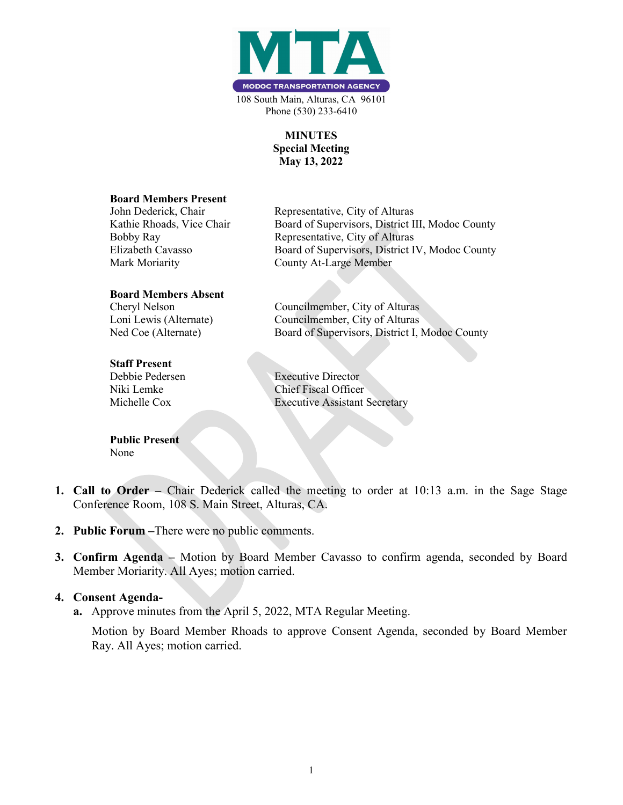

#### MINUTES Special Meeting May 13, 2022

#### Board Members Present

John Dederick, Chair Representative, City of Alturas Kathie Rhoads, Vice Chair Board of Supervisors, District III, Modoc County Bobby Ray Representative, City of Alturas Elizabeth Cavasso Board of Supervisors, District IV, Modoc County Mark Moriarity County At-Large Member

#### Board Members Absent

Cheryl Nelson Councilmember, City of Alturas

#### Staff Present

Debbie Pedersen Executive Director

Public Present None

Loni Lewis (Alternate) Councilmember, City of Alturas Ned Coe (Alternate) Board of Supervisors, District I, Modoc County

Niki Lemke Chief Fiscal Officer Michelle Cox Executive Assistant Secretary

- 1. Call to Order Chair Dederick called the meeting to order at 10:13 a.m. in the Sage Stage Conference Room, 108 S. Main Street, Alturas, CA.
- 2. Public Forum –There were no public comments.
- 3. Confirm Agenda Motion by Board Member Cavasso to confirm agenda, seconded by Board Member Moriarity. All Ayes; motion carried.

#### 4. Consent Agenda-

a. Approve minutes from the April 5, 2022, MTA Regular Meeting.

 Motion by Board Member Rhoads to approve Consent Agenda, seconded by Board Member Ray. All Ayes; motion carried.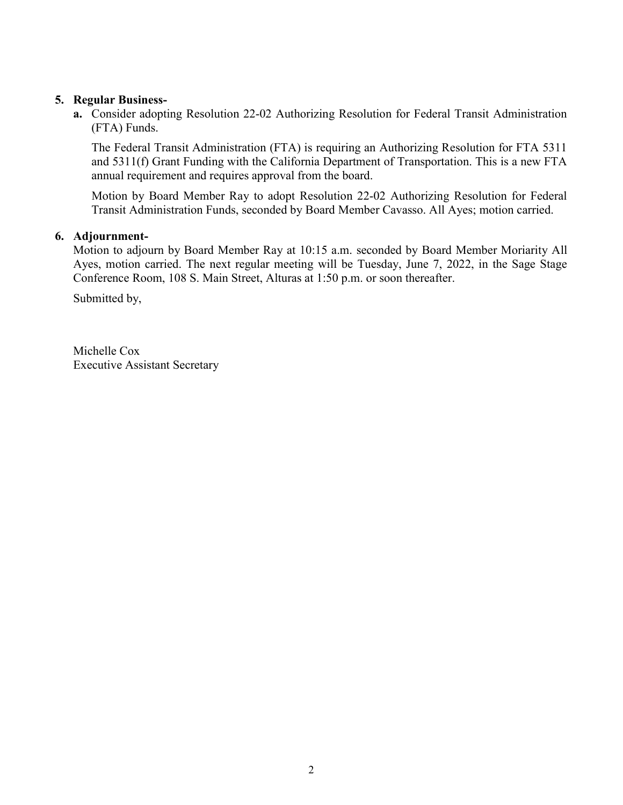#### 5. Regular Business-

 a. Consider adopting Resolution 22-02 Authorizing Resolution for Federal Transit Administration (FTA) Funds.

 The Federal Transit Administration (FTA) is requiring an Authorizing Resolution for FTA 5311 and 5311(f) Grant Funding with the California Department of Transportation. This is a new FTA annual requirement and requires approval from the board.

 Motion by Board Member Ray to adopt Resolution 22-02 Authorizing Resolution for Federal Transit Administration Funds, seconded by Board Member Cavasso. All Ayes; motion carried.

#### 6. Adjournment-

Motion to adjourn by Board Member Ray at 10:15 a.m. seconded by Board Member Moriarity All Ayes, motion carried. The next regular meeting will be Tuesday, June 7, 2022, in the Sage Stage Conference Room, 108 S. Main Street, Alturas at 1:50 p.m. or soon thereafter.

Submitted by,

 Michelle Cox Executive Assistant Secretary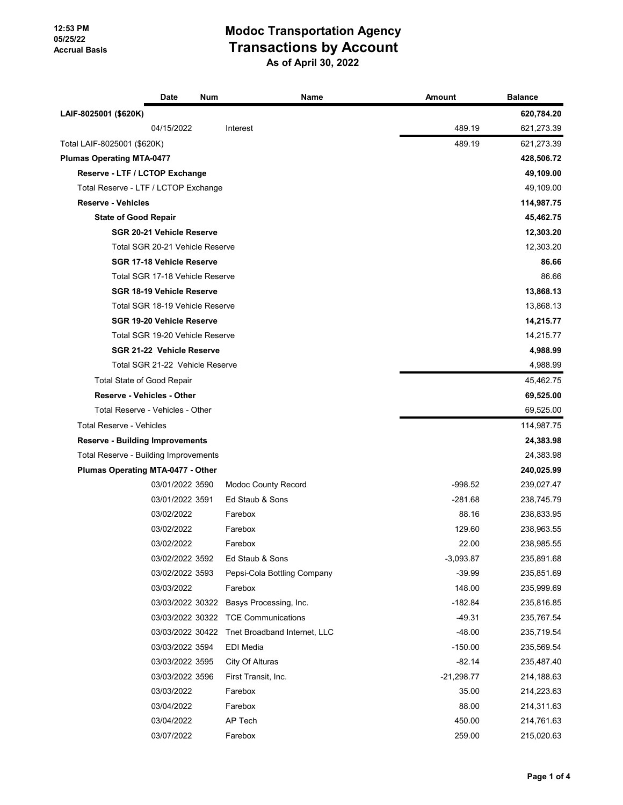|                                              | <b>Date</b>                      | Num | Name                         | Amount       | <b>Balance</b> |
|----------------------------------------------|----------------------------------|-----|------------------------------|--------------|----------------|
| LAIF-8025001 (\$620K)                        |                                  |     |                              |              | 620,784.20     |
|                                              | 04/15/2022                       |     | Interest                     | 489.19       | 621,273.39     |
| Total LAIF-8025001 (\$620K)                  |                                  |     |                              | 489.19       | 621,273.39     |
| <b>Plumas Operating MTA-0477</b>             |                                  |     |                              |              | 428,506.72     |
| Reserve - LTF / LCTOP Exchange               |                                  |     |                              |              | 49,109.00      |
| Total Reserve - LTF / LCTOP Exchange         |                                  |     |                              |              | 49,109.00      |
| <b>Reserve - Vehicles</b>                    |                                  |     |                              |              | 114,987.75     |
| <b>State of Good Repair</b>                  |                                  |     |                              |              | 45,462.75      |
|                                              | SGR 20-21 Vehicle Reserve        |     |                              |              | 12,303.20      |
|                                              | Total SGR 20-21 Vehicle Reserve  |     |                              |              | 12,303.20      |
|                                              | SGR 17-18 Vehicle Reserve        |     |                              |              | 86.66          |
|                                              | Total SGR 17-18 Vehicle Reserve  |     |                              |              | 86.66          |
|                                              | SGR 18-19 Vehicle Reserve        |     |                              |              | 13,868.13      |
|                                              | Total SGR 18-19 Vehicle Reserve  |     |                              |              | 13,868.13      |
|                                              | <b>SGR 19-20 Vehicle Reserve</b> |     |                              |              | 14,215.77      |
|                                              | Total SGR 19-20 Vehicle Reserve  |     |                              |              | 14,215.77      |
|                                              | SGR 21-22 Vehicle Reserve        |     |                              |              | 4,988.99       |
|                                              | Total SGR 21-22 Vehicle Reserve  |     |                              |              | 4,988.99       |
| <b>Total State of Good Repair</b>            |                                  |     |                              |              | 45,462.75      |
| <b>Reserve - Vehicles - Other</b>            |                                  |     |                              |              | 69,525.00      |
| Total Reserve - Vehicles - Other             |                                  |     |                              |              | 69,525.00      |
| <b>Total Reserve - Vehicles</b>              |                                  |     |                              |              | 114,987.75     |
| <b>Reserve - Building Improvements</b>       |                                  |     |                              |              | 24,383.98      |
| <b>Total Reserve - Building Improvements</b> |                                  |     |                              |              | 24,383.98      |
| Plumas Operating MTA-0477 - Other            |                                  |     |                              |              | 240,025.99     |
|                                              | 03/01/2022 3590                  |     | <b>Modoc County Record</b>   | $-998.52$    | 239,027.47     |
|                                              | 03/01/2022 3591                  |     | Ed Staub & Sons              | $-281.68$    | 238,745.79     |
|                                              | 03/02/2022                       |     | Farebox                      | 88.16        | 238,833.95     |
|                                              | 03/02/2022                       |     | Farebox                      | 129.60       | 238,963.55     |
|                                              | 03/02/2022                       |     | Farebox                      | 22.00        | 238,985.55     |
|                                              | 03/02/2022 3592                  |     | Ed Staub & Sons              | $-3,093.87$  | 235,891.68     |
|                                              | 03/02/2022 3593                  |     | Pepsi-Cola Bottling Company  | $-39.99$     | 235,851.69     |
|                                              | 03/03/2022                       |     | Farebox                      | 148.00       | 235,999.69     |
|                                              | 03/03/2022 30322                 |     | Basys Processing, Inc.       | $-182.84$    | 235,816.85     |
|                                              | 03/03/2022 30322                 |     | <b>TCE Communications</b>    | $-49.31$     | 235,767.54     |
|                                              | 03/03/2022 30422                 |     | Tnet Broadband Internet, LLC | $-48.00$     | 235,719.54     |
|                                              | 03/03/2022 3594                  |     | EDI Media                    | $-150.00$    | 235,569.54     |
|                                              | 03/03/2022 3595                  |     | City Of Alturas              | $-82.14$     | 235,487.40     |
|                                              | 03/03/2022 3596                  |     | First Transit, Inc.          | $-21,298.77$ | 214,188.63     |
|                                              | 03/03/2022                       |     | Farebox                      | 35.00        | 214,223.63     |
|                                              | 03/04/2022                       |     | Farebox                      | 88.00        | 214,311.63     |
|                                              | 03/04/2022                       |     | AP Tech                      | 450.00       | 214,761.63     |
|                                              | 03/07/2022                       |     | Farebox                      | 259.00       | 215,020.63     |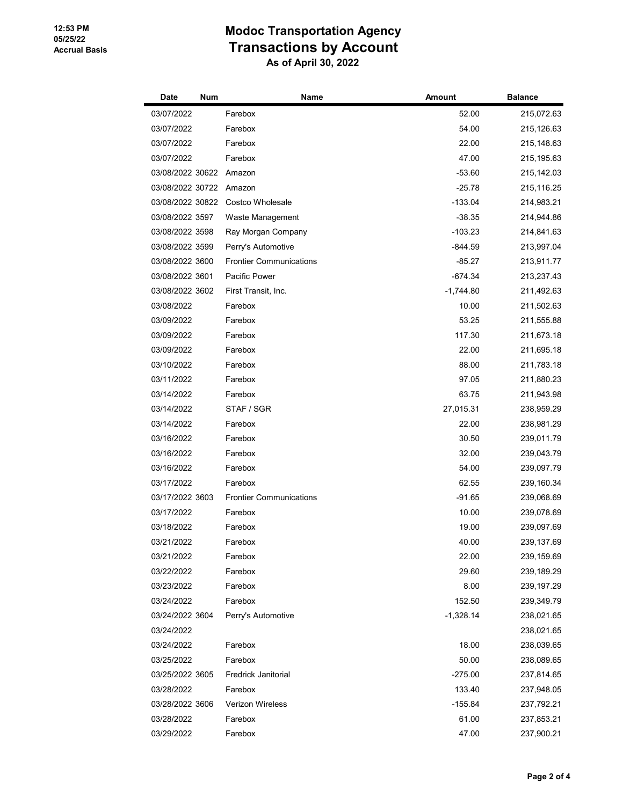| Date             | Num | Name                           | Amount      | <b>Balance</b> |
|------------------|-----|--------------------------------|-------------|----------------|
| 03/07/2022       |     | Farebox                        | 52.00       | 215,072.63     |
| 03/07/2022       |     | Farebox                        | 54.00       | 215,126.63     |
| 03/07/2022       |     | Farebox                        | 22.00       | 215,148.63     |
| 03/07/2022       |     | Farebox                        | 47.00       | 215, 195.63    |
| 03/08/2022 30622 |     | Amazon                         | $-53.60$    | 215, 142.03    |
| 03/08/2022 30722 |     | Amazon                         | $-25.78$    | 215,116.25     |
| 03/08/2022 30822 |     | Costco Wholesale               | $-133.04$   | 214,983.21     |
| 03/08/2022 3597  |     | Waste Management               | $-38.35$    | 214,944.86     |
| 03/08/2022 3598  |     | Ray Morgan Company             | $-103.23$   | 214,841.63     |
| 03/08/2022 3599  |     | Perry's Automotive             | $-844.59$   | 213,997.04     |
| 03/08/2022 3600  |     | <b>Frontier Communications</b> | $-85.27$    | 213,911.77     |
| 03/08/2022 3601  |     | Pacific Power                  | $-674.34$   | 213,237.43     |
| 03/08/2022 3602  |     | First Transit, Inc.            | $-1,744.80$ | 211,492.63     |
| 03/08/2022       |     | Farebox                        | 10.00       | 211,502.63     |
| 03/09/2022       |     | Farebox                        | 53.25       | 211,555.88     |
| 03/09/2022       |     | Farebox                        | 117.30      | 211,673.18     |
| 03/09/2022       |     | Farebox                        | 22.00       | 211,695.18     |
| 03/10/2022       |     | Farebox                        | 88.00       | 211,783.18     |
| 03/11/2022       |     | Farebox                        | 97.05       | 211,880.23     |
| 03/14/2022       |     | Farebox                        | 63.75       | 211,943.98     |
| 03/14/2022       |     | STAF / SGR                     | 27,015.31   | 238,959.29     |
| 03/14/2022       |     | Farebox                        | 22.00       | 238,981.29     |
| 03/16/2022       |     | Farebox                        | 30.50       | 239,011.79     |
| 03/16/2022       |     | Farebox                        | 32.00       | 239,043.79     |
| 03/16/2022       |     | Farebox                        | 54.00       | 239,097.79     |
| 03/17/2022       |     | Farebox                        | 62.55       | 239,160.34     |
| 03/17/2022 3603  |     | <b>Frontier Communications</b> | $-91.65$    | 239,068.69     |
| 03/17/2022       |     | Farebox                        | 10.00       | 239,078.69     |
| 03/18/2022       |     | Farebox                        | 19.00       | 239,097.69     |
| 03/21/2022       |     | Farebox                        | 40.00       | 239,137.69     |
| 03/21/2022       |     | Farebox                        | 22.00       | 239,159.69     |
| 03/22/2022       |     | Farebox                        | 29.60       | 239,189.29     |
| 03/23/2022       |     | Farebox                        | 8.00        | 239, 197.29    |
| 03/24/2022       |     | Farebox                        | 152.50      | 239,349.79     |
| 03/24/2022 3604  |     | Perry's Automotive             | $-1,328.14$ | 238,021.65     |
| 03/24/2022       |     |                                |             | 238,021.65     |
| 03/24/2022       |     | Farebox                        | 18.00       | 238,039.65     |
| 03/25/2022       |     | Farebox                        | 50.00       | 238,089.65     |
| 03/25/2022 3605  |     | <b>Fredrick Janitorial</b>     | $-275.00$   | 237,814.65     |
| 03/28/2022       |     | Farebox                        | 133.40      | 237,948.05     |
| 03/28/2022 3606  |     | <b>Verizon Wireless</b>        | -155.84     | 237,792.21     |
| 03/28/2022       |     | Farebox                        | 61.00       | 237,853.21     |
| 03/29/2022       |     | Farebox                        | 47.00       | 237,900.21     |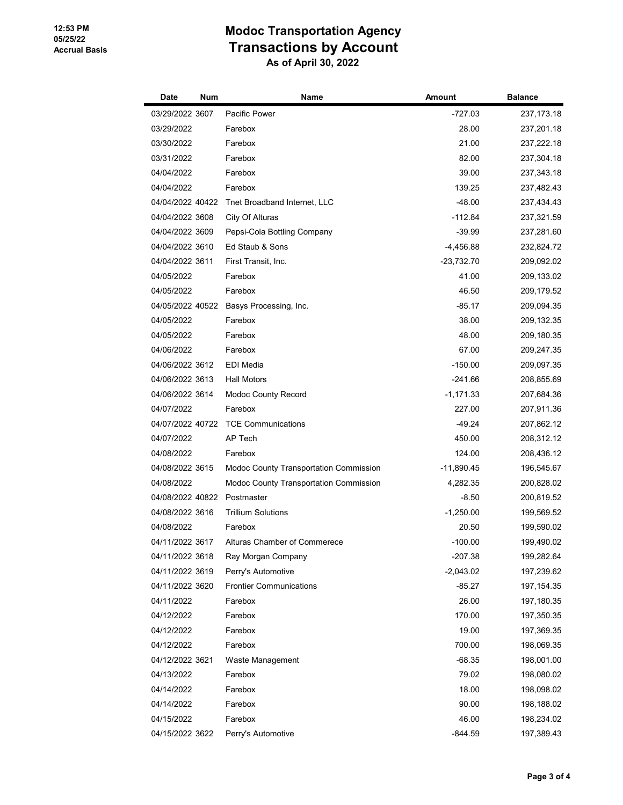| Date             | Num | Name                                   | Amount       | <b>Balance</b> |
|------------------|-----|----------------------------------------|--------------|----------------|
| 03/29/2022 3607  |     | Pacific Power                          | -727.03      | 237, 173. 18   |
| 03/29/2022       |     | Farebox                                | 28.00        | 237,201.18     |
| 03/30/2022       |     | Farebox                                | 21.00        | 237,222.18     |
| 03/31/2022       |     | Farebox                                | 82.00        | 237,304.18     |
| 04/04/2022       |     | Farebox                                | 39.00        | 237,343.18     |
| 04/04/2022       |     | Farebox                                | 139.25       | 237,482.43     |
| 04/04/2022 40422 |     | Tnet Broadband Internet, LLC           | $-48.00$     | 237,434.43     |
| 04/04/2022 3608  |     | City Of Alturas                        | -112.84      | 237,321.59     |
| 04/04/2022 3609  |     | Pepsi-Cola Bottling Company            | -39.99       | 237,281.60     |
| 04/04/2022 3610  |     | Ed Staub & Sons                        | $-4,456.88$  | 232,824.72     |
| 04/04/2022 3611  |     | First Transit, Inc.                    | -23,732.70   | 209,092.02     |
| 04/05/2022       |     | Farebox                                | 41.00        | 209,133.02     |
| 04/05/2022       |     | Farebox                                | 46.50        | 209,179.52     |
| 04/05/2022 40522 |     | Basys Processing, Inc.                 | $-85.17$     | 209,094.35     |
| 04/05/2022       |     | Farebox                                | 38.00        | 209, 132.35    |
| 04/05/2022       |     | Farebox                                | 48.00        | 209,180.35     |
| 04/06/2022       |     | Farebox                                | 67.00        | 209,247.35     |
| 04/06/2022 3612  |     | <b>EDI</b> Media                       | $-150.00$    | 209,097.35     |
| 04/06/2022 3613  |     | <b>Hall Motors</b>                     | $-241.66$    | 208,855.69     |
| 04/06/2022 3614  |     | <b>Modoc County Record</b>             | -1,171.33    | 207,684.36     |
| 04/07/2022       |     | Farebox                                | 227.00       | 207,911.36     |
| 04/07/2022 40722 |     | <b>TCE Communications</b>              | -49.24       | 207,862.12     |
| 04/07/2022       |     | AP Tech                                | 450.00       | 208,312.12     |
| 04/08/2022       |     | Farebox                                | 124.00       | 208,436.12     |
| 04/08/2022 3615  |     | Modoc County Transportation Commission | $-11,890.45$ | 196,545.67     |
| 04/08/2022       |     | Modoc County Transportation Commission | 4,282.35     | 200,828.02     |
| 04/08/2022 40822 |     | Postmaster                             | $-8.50$      | 200,819.52     |
| 04/08/2022 3616  |     | <b>Trillium Solutions</b>              | $-1,250.00$  | 199,569.52     |
| 04/08/2022       |     | Farebox                                | 20.50        | 199,590.02     |
| 04/11/2022 3617  |     | Alturas Chamber of Commerece           | $-100.00$    | 199,490.02     |
| 04/11/2022 3618  |     | Ray Morgan Company                     | -207.38      | 199,282.64     |
| 04/11/2022 3619  |     | Perry's Automotive                     | $-2,043.02$  | 197,239.62     |
| 04/11/2022 3620  |     | <b>Frontier Communications</b>         | -85.27       | 197, 154. 35   |
| 04/11/2022       |     | Farebox                                | 26.00        | 197,180.35     |
| 04/12/2022       |     | Farebox                                | 170.00       | 197,350.35     |
| 04/12/2022       |     | Farebox                                | 19.00        | 197,369.35     |
| 04/12/2022       |     | Farebox                                | 700.00       | 198,069.35     |
| 04/12/2022 3621  |     | Waste Management                       | $-68.35$     | 198,001.00     |
| 04/13/2022       |     | Farebox                                | 79.02        | 198,080.02     |
| 04/14/2022       |     | Farebox                                | 18.00        | 198,098.02     |
| 04/14/2022       |     | Farebox                                | 90.00        | 198,188.02     |
| 04/15/2022       |     | Farebox                                | 46.00        | 198,234.02     |
| 04/15/2022 3622  |     | Perry's Automotive                     | -844.59      | 197,389.43     |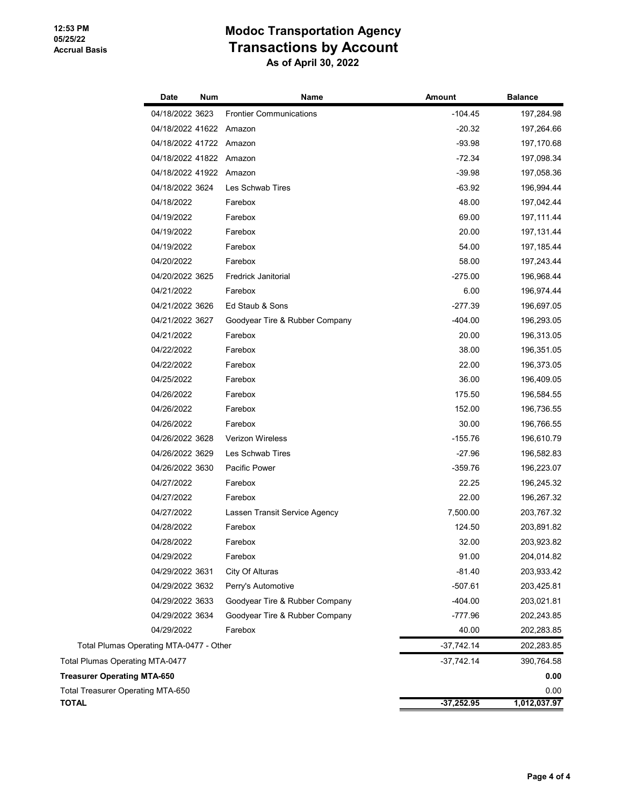|                                         | <b>Date</b>             | Num | Name                           | <b>Amount</b> | <b>Balance</b> |
|-----------------------------------------|-------------------------|-----|--------------------------------|---------------|----------------|
|                                         | 04/18/2022 3623         |     | <b>Frontier Communications</b> | $-104.45$     | 197,284.98     |
|                                         | 04/18/2022 41622 Amazon |     |                                | $-20.32$      | 197,264.66     |
|                                         | 04/18/2022 41722 Amazon |     |                                | $-93.98$      | 197,170.68     |
|                                         | 04/18/2022 41822 Amazon |     |                                | $-72.34$      | 197,098.34     |
|                                         | 04/18/2022 41922 Amazon |     |                                | $-39.98$      | 197,058.36     |
|                                         | 04/18/2022 3624         |     | Les Schwab Tires               | $-63.92$      | 196,994.44     |
|                                         | 04/18/2022              |     | Farebox                        | 48.00         | 197,042.44     |
|                                         | 04/19/2022              |     | Farebox                        | 69.00         | 197,111.44     |
|                                         | 04/19/2022              |     | Farebox                        | 20.00         | 197, 131.44    |
|                                         | 04/19/2022              |     | Farebox                        | 54.00         | 197, 185.44    |
|                                         | 04/20/2022              |     | Farebox                        | 58.00         | 197,243.44     |
|                                         | 04/20/2022 3625         |     | <b>Fredrick Janitorial</b>     | $-275.00$     | 196,968.44     |
|                                         | 04/21/2022              |     | Farebox                        | 6.00          | 196,974.44     |
|                                         | 04/21/2022 3626         |     | Ed Staub & Sons                | $-277.39$     | 196,697.05     |
|                                         | 04/21/2022 3627         |     | Goodyear Tire & Rubber Company | $-404.00$     | 196,293.05     |
|                                         | 04/21/2022              |     | Farebox                        | 20.00         | 196,313.05     |
|                                         | 04/22/2022              |     | Farebox                        | 38.00         | 196,351.05     |
|                                         | 04/22/2022              |     | Farebox                        | 22.00         | 196,373.05     |
|                                         | 04/25/2022              |     | Farebox                        | 36.00         | 196,409.05     |
|                                         | 04/26/2022              |     | Farebox                        | 175.50        | 196,584.55     |
|                                         | 04/26/2022              |     | Farebox                        | 152.00        | 196,736.55     |
|                                         | 04/26/2022              |     | Farebox                        | 30.00         | 196,766.55     |
|                                         | 04/26/2022 3628         |     | <b>Verizon Wireless</b>        | $-155.76$     | 196,610.79     |
|                                         | 04/26/2022 3629         |     | Les Schwab Tires               | $-27.96$      | 196,582.83     |
|                                         | 04/26/2022 3630         |     | Pacific Power                  | $-359.76$     | 196,223.07     |
|                                         | 04/27/2022              |     | Farebox                        | 22.25         | 196,245.32     |
|                                         | 04/27/2022              |     | Farebox                        | 22.00         | 196,267.32     |
|                                         | 04/27/2022              |     | Lassen Transit Service Agency  | 7,500.00      | 203,767.32     |
|                                         | 04/28/2022              |     | Farebox                        | 124.50        | 203,891.82     |
|                                         | 04/28/2022              |     | Farebox                        | 32.00         | 203,923.82     |
|                                         | 04/29/2022              |     | Farebox                        | 91.00         | 204,014.82     |
|                                         | 04/29/2022 3631         |     | City Of Alturas                | $-81.40$      | 203,933.42     |
|                                         | 04/29/2022 3632         |     | Perry's Automotive             | $-507.61$     | 203,425.81     |
|                                         | 04/29/2022 3633         |     | Goodyear Tire & Rubber Company | $-404.00$     | 203,021.81     |
|                                         | 04/29/2022 3634         |     | Goodyear Tire & Rubber Company | -777.96       | 202,243.85     |
|                                         | 04/29/2022              |     | Farebox                        | 40.00         | 202,283.85     |
| Total Plumas Operating MTA-0477 - Other |                         |     |                                | $-37,742.14$  | 202,283.85     |
| <b>Total Plumas Operating MTA-0477</b>  |                         |     |                                | $-37,742.14$  | 390,764.58     |
| <b>Treasurer Operating MTA-650</b>      |                         |     |                                |               | 0.00           |
| Total Treasurer Operating MTA-650       |                         |     |                                |               | 0.00           |
| <b>TOTAL</b>                            |                         |     |                                | $-37,252.95$  | 1,012,037.97   |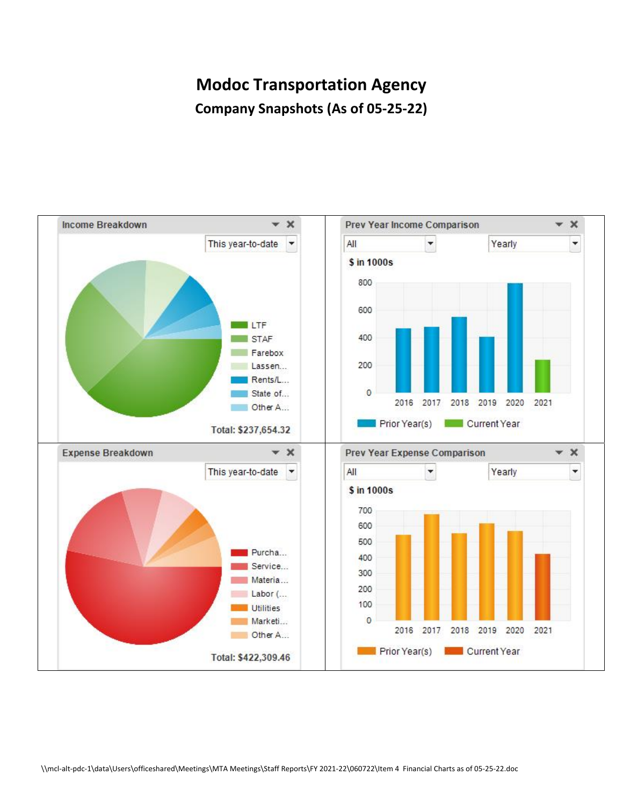# **Modoc Transportation Agency Company Snapshots (As of 05‐25‐22)**

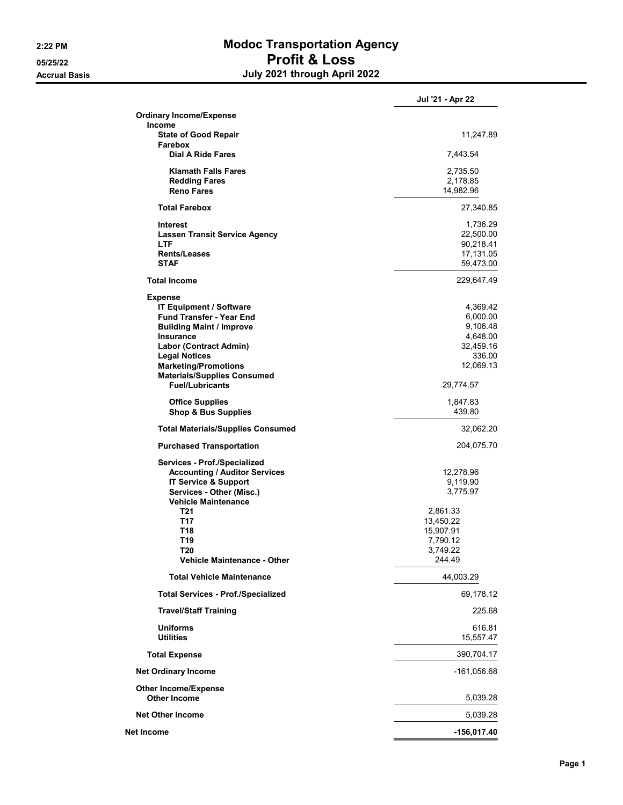## **2:22 PM Modoc Transportation Agency 05/25/22 Profit & Loss Accrual Basis July 2021 through April 2022**

|                                                                                                                                                                                                                                                                                      | Jul '21 - Apr 22                                                                                          |
|--------------------------------------------------------------------------------------------------------------------------------------------------------------------------------------------------------------------------------------------------------------------------------------|-----------------------------------------------------------------------------------------------------------|
| <b>Ordinary Income/Expense</b>                                                                                                                                                                                                                                                       |                                                                                                           |
| <b>Income</b><br><b>State of Good Repair</b><br>Farebox                                                                                                                                                                                                                              | 11,247.89                                                                                                 |
| Dial A Ride Fares                                                                                                                                                                                                                                                                    | 7,443.54                                                                                                  |
| <b>Klamath Falls Fares</b><br><b>Redding Fares</b><br><b>Reno Fares</b>                                                                                                                                                                                                              | 2,735.50<br>2,178.85<br>14,982.96                                                                         |
| <b>Total Farebox</b>                                                                                                                                                                                                                                                                 | 27,340.85                                                                                                 |
| Interest<br><b>Lassen Transit Service Agency</b><br><b>LTF</b><br>Rents/Leases<br><b>STAF</b>                                                                                                                                                                                        | 1,736.29<br>22,500.00<br>90,218.41<br>17,131.05<br>59,473.00                                              |
| <b>Total Income</b>                                                                                                                                                                                                                                                                  | 229,647.49                                                                                                |
| <b>Expense</b><br><b>IT Equipment / Software</b><br><b>Fund Transfer - Year End</b><br><b>Building Maint / Improve</b><br>Insurance<br>Labor (Contract Admin)<br><b>Legal Notices</b><br><b>Marketing/Promotions</b><br><b>Materials/Supplies Consumed</b><br><b>Fuel/Lubricants</b> | 4,369.42<br>6,000.00<br>9,106.48<br>4,648.00<br>32,459.16<br>336.00<br>12,069.13<br>29,774.57             |
| <b>Office Supplies</b><br><b>Shop &amp; Bus Supplies</b>                                                                                                                                                                                                                             | 1,847.83<br>439.80                                                                                        |
| <b>Total Materials/Supplies Consumed</b>                                                                                                                                                                                                                                             | 32,062.20                                                                                                 |
| <b>Purchased Transportation</b>                                                                                                                                                                                                                                                      | 204,075.70                                                                                                |
| Services - Prof./Specialized<br><b>Accounting / Auditor Services</b><br>IT Service & Support<br>Services - Other (Misc.)<br><b>Vehicle Maintenance</b><br>T21<br>T17<br>T18<br>T19<br>T20<br><b>Vehicle Maintenance - Other</b>                                                      | 12,278.96<br>9,119.90<br>3,775.97<br>2,861.33<br>13,450.22<br>15,907.91<br>7,790.12<br>3,749.22<br>244.49 |
| <b>Total Vehicle Maintenance</b>                                                                                                                                                                                                                                                     | 44,003.29                                                                                                 |
| <b>Total Services - Prof./Specialized</b>                                                                                                                                                                                                                                            | 69,178.12                                                                                                 |
| <b>Travel/Staff Training</b>                                                                                                                                                                                                                                                         | 225.68                                                                                                    |
| <b>Uniforms</b><br><b>Utilities</b>                                                                                                                                                                                                                                                  | 616.81<br>15,557.47                                                                                       |
| <b>Total Expense</b>                                                                                                                                                                                                                                                                 | 390,704.17                                                                                                |
| <b>Net Ordinary Income</b>                                                                                                                                                                                                                                                           | -161,056.68                                                                                               |
| <b>Other Income/Expense</b><br><b>Other Income</b>                                                                                                                                                                                                                                   | 5,039.28                                                                                                  |
| <b>Net Other Income</b>                                                                                                                                                                                                                                                              | 5,039.28                                                                                                  |
| Net Income                                                                                                                                                                                                                                                                           | -156,017.40                                                                                               |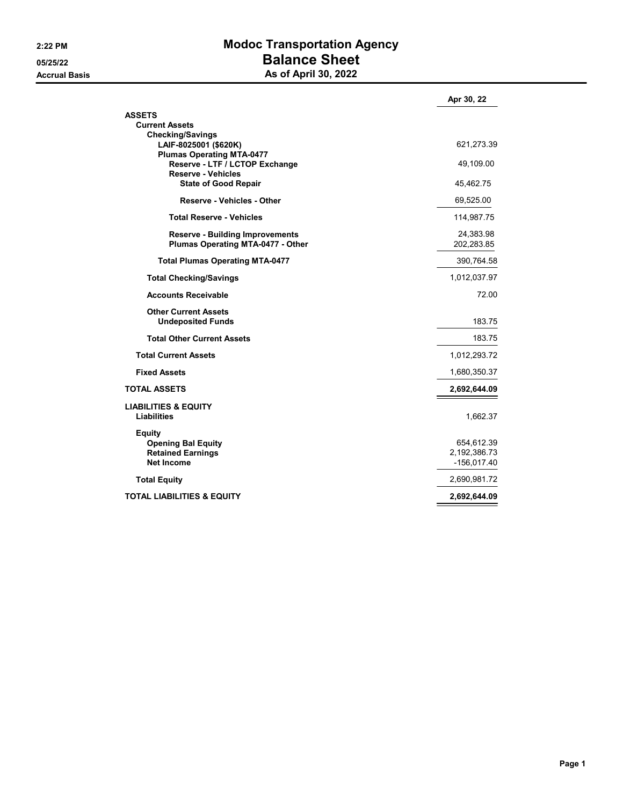## **2:22 PM Modoc Transportation Agency 05/25/22 Balance Sheet Accrual Basis As of April 30, 2022**

|                                                           | Apr 30, 22                     |
|-----------------------------------------------------------|--------------------------------|
| <b>ASSETS</b>                                             |                                |
| <b>Current Assets</b>                                     |                                |
| <b>Checking/Savings</b>                                   |                                |
| LAIF-8025001 (\$620K)<br><b>Plumas Operating MTA-0477</b> | 621,273.39                     |
| Reserve - LTF / LCTOP Exchange                            | 49,109.00                      |
| <b>Reserve - Vehicles</b>                                 |                                |
| <b>State of Good Repair</b>                               | 45,462.75                      |
| <b>Reserve - Vehicles - Other</b>                         | 69,525.00                      |
| <b>Total Reserve - Vehicles</b>                           | 114,987.75                     |
| <b>Reserve - Building Improvements</b>                    | 24,383.98                      |
| Plumas Operating MTA-0477 - Other                         | 202,283.85                     |
| <b>Total Plumas Operating MTA-0477</b>                    | 390,764.58                     |
| <b>Total Checking/Savings</b>                             | 1,012,037.97                   |
| <b>Accounts Receivable</b>                                | 72.00                          |
| <b>Other Current Assets</b>                               |                                |
| <b>Undeposited Funds</b>                                  | 183.75                         |
| <b>Total Other Current Assets</b>                         | 183.75                         |
| <b>Total Current Assets</b>                               | 1,012,293.72                   |
| <b>Fixed Assets</b>                                       | 1,680,350.37                   |
| <b>TOTAL ASSETS</b>                                       | 2,692,644.09                   |
| <b>LIABILITIES &amp; EQUITY</b>                           |                                |
| Liabilities                                               | 1,662.37                       |
| <b>Equity</b>                                             |                                |
| <b>Opening Bal Equity</b>                                 | 654,612.39                     |
| <b>Retained Earnings</b><br><b>Net Income</b>             | 2, 192, 386. 73<br>-156,017.40 |
|                                                           |                                |
| <b>Total Equity</b>                                       | 2,690,981.72                   |
| <b>TOTAL LIABILITIES &amp; EQUITY</b>                     | 2,692,644.09                   |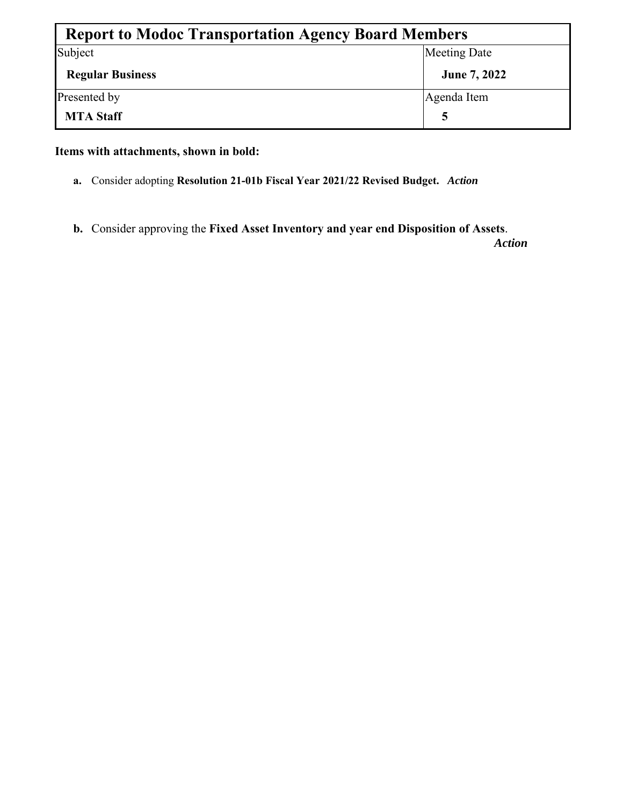| <b>Report to Modoc Transportation Agency Board Members</b> |                     |  |  |  |  |  |  |
|------------------------------------------------------------|---------------------|--|--|--|--|--|--|
| Subject                                                    | <b>Meeting Date</b> |  |  |  |  |  |  |
| <b>Regular Business</b>                                    | June 7, 2022        |  |  |  |  |  |  |
| Presented by                                               | Agenda Item         |  |  |  |  |  |  |
| <b>MTA Staff</b>                                           |                     |  |  |  |  |  |  |

**Items with attachments, shown in bold:** 

- **a.** Consider adopting **Resolution 21-01b Fiscal Year 2021/22 Revised Budget.** *Action*
- **b.** Consider approving the **Fixed Asset Inventory and year end Disposition of Assets**.

*Action*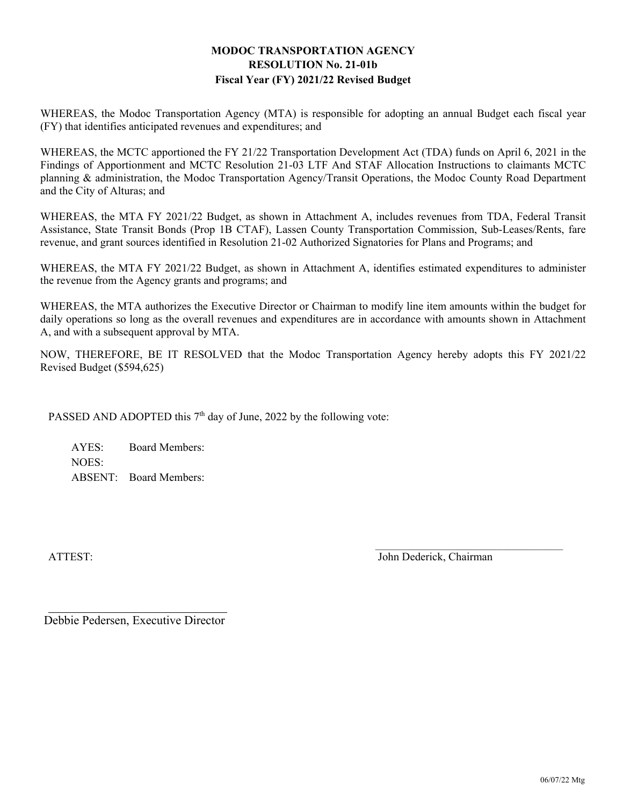#### **MODOC TRANSPORTATION AGENCY RESOLUTION No. 21-01b Fiscal Year (FY) 2021/22 Revised Budget**

WHEREAS, the Modoc Transportation Agency (MTA) is responsible for adopting an annual Budget each fiscal year (FY) that identifies anticipated revenues and expenditures; and

WHEREAS, the MCTC apportioned the FY 21/22 Transportation Development Act (TDA) funds on April 6, 2021 in the Findings of Apportionment and MCTC Resolution 21-03 LTF And STAF Allocation Instructions to claimants MCTC planning & administration, the Modoc Transportation Agency/Transit Operations, the Modoc County Road Department and the City of Alturas; and

WHEREAS, the MTA FY 2021/22 Budget, as shown in Attachment A, includes revenues from TDA, Federal Transit Assistance, State Transit Bonds (Prop 1B CTAF), Lassen County Transportation Commission, Sub-Leases/Rents, fare revenue, and grant sources identified in Resolution 21-02 Authorized Signatories for Plans and Programs; and

WHEREAS, the MTA FY 2021/22 Budget, as shown in Attachment A, identifies estimated expenditures to administer the revenue from the Agency grants and programs; and

WHEREAS, the MTA authorizes the Executive Director or Chairman to modify line item amounts within the budget for daily operations so long as the overall revenues and expenditures are in accordance with amounts shown in Attachment A, and with a subsequent approval by MTA.

NOW, THEREFORE, BE IT RESOLVED that the Modoc Transportation Agency hereby adopts this FY 2021/22 Revised Budget (\$594,625)

PASSED AND ADOPTED this  $7<sup>th</sup>$  day of June, 2022 by the following vote:

AYES: Board Members: NOES: ABSENT: Board Members:

ATTEST: John Dederick, Chairman

Debbie Pedersen, Executive Director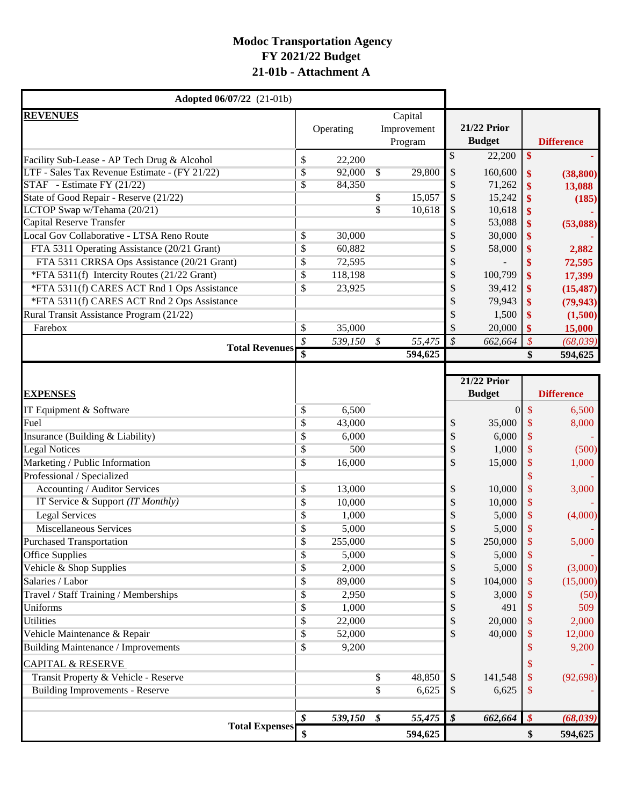## **Modoc Transportation Agency FY 2021/22 Budget 21-01b - Attachment A**

| <b>Adopted 06/07/22</b> (21-01b)              |                         |           |                            |                                   |                            |                                     |                            |                   |
|-----------------------------------------------|-------------------------|-----------|----------------------------|-----------------------------------|----------------------------|-------------------------------------|----------------------------|-------------------|
| <b>REVENUES</b>                               |                         | Operating |                            | Capital<br>Improvement<br>Program |                            | <b>21/22 Prior</b><br><b>Budget</b> |                            | <b>Difference</b> |
| Facility Sub-Lease - AP Tech Drug & Alcohol   | \$                      | 22,200    |                            |                                   | \$                         | 22,200                              | \$                         |                   |
| LTF - Sales Tax Revenue Estimate - (FY 21/22) | \$                      | 92,000    | $\sqrt{\frac{2}{5}}$       | 29,800                            | \$                         | 160,600                             | \$                         | (38, 800)         |
| STAF - Estimate FY (21/22)                    | \$                      | 84,350    |                            |                                   | \$                         | 71,262                              | \$                         | 13,088            |
| State of Good Repair - Reserve (21/22)        |                         |           | \$                         | 15,057                            | \$                         | 15,242                              |                            | (185)             |
| LCTOP Swap w/Tehama (20/21)                   |                         |           | $\overline{\mathbb{S}}$    | 10,618                            | \$                         | 10,618                              |                            |                   |
| <b>Capital Reserve Transfer</b>               |                         |           |                            |                                   | \$                         | 53,088                              | \$                         | (53,088)          |
| Local Gov Collaborative - LTSA Reno Route     | \$                      | 30,000    |                            |                                   | \$                         | 30,000                              |                            |                   |
| FTA 5311 Operating Assistance (20/21 Grant)   | \$                      | 60,882    |                            |                                   |                            | 58,000                              |                            | 2,882             |
| FTA 5311 CRRSA Ops Assistance (20/21 Grant)   | \$                      | 72,595    |                            |                                   |                            |                                     |                            | 72,595            |
| *FTA 5311(f) Intercity Routes (21/22 Grant)   | \$                      | 118,198   |                            |                                   | \$                         | 100,799                             | \$                         | 17,399            |
| *FTA 5311(f) CARES ACT Rnd 1 Ops Assistance   | \$                      | 23,925    |                            |                                   | \$                         | 39,412                              | \$                         | (15, 487)         |
| *FTA 5311(f) CARES ACT Rnd 2 Ops Assistance   |                         |           |                            |                                   | \$                         | 79,943                              | \$                         | (79, 943)         |
| Rural Transit Assistance Program (21/22)      |                         |           |                            |                                   | \$                         | 1,500                               | \$                         | (1,500)           |
| Farebox                                       | \$                      | 35,000    |                            |                                   | \$                         | 20,000                              | \$                         | 15,000            |
|                                               | \$                      | 539,150   | $\boldsymbol{\mathcal{S}}$ | 55,475                            | $\mathcal{S}$              | 662,664                             | $\boldsymbol{\mathcal{S}}$ | (68,039)          |
| <b>Total Revenues</b>                         | $\overline{\mathbf{s}}$ |           |                            | 594,625                           |                            |                                     | \$                         | 594,625           |
|                                               |                         |           |                            |                                   |                            |                                     |                            |                   |
|                                               |                         |           |                            |                                   |                            | <b>21/22 Prior</b>                  |                            |                   |
| <b>EXPENSES</b>                               |                         |           |                            |                                   |                            | <b>Budget</b>                       |                            | <b>Difference</b> |
| IT Equipment & Software                       | \$                      | 6,500     |                            |                                   |                            | $\overline{0}$                      | $\mathsf{\$}$              | 6,500             |
| Fuel                                          | \$                      | 43,000    |                            |                                   | \$                         | 35,000                              | \$                         | 8,000             |
| Insurance (Building & Liability)              | \$                      | 6,000     |                            |                                   | \$                         | 6,000                               | \$                         |                   |
| <b>Legal Notices</b>                          | \$                      | 500       |                            |                                   | \$                         | 1,000                               | \$                         | (500)             |
| Marketing / Public Information                | \$                      | 16,000    |                            |                                   | \$                         | 15,000                              | \$                         | 1,000             |
| Professional / Specialized                    |                         |           |                            |                                   |                            |                                     |                            |                   |
| Accounting / Auditor Services                 | \$                      | 13,000    |                            |                                   | \$                         | 10,000                              | \$                         | 3,000             |
| IT Service & Support (IT Monthly)             | \$                      | 10,000    |                            |                                   | \$                         | 10,000                              | \$                         |                   |
| <b>Legal Services</b>                         | $\boldsymbol{\$}$       | 1,000     |                            |                                   | \$                         | 5,000                               | \$                         | (4,000)           |
| <b>Miscellaneous Services</b>                 | \$                      | 5,000     |                            |                                   | \$                         | 5,000                               | S                          |                   |
| <b>Purchased Transportation</b>               | \$                      | 255,000   |                            |                                   |                            | 250,000                             |                            | 5,000             |
| <b>Office Supplies</b>                        | \$                      | 5,000     |                            |                                   | \$                         | 5,000                               | \$                         |                   |
| Vehicle & Shop Supplies                       | \$                      | 2,000     |                            |                                   | \$                         | 5,000                               | S                          | (3,000)           |
| Salaries / Labor                              | \$                      | 89,000    |                            |                                   | \$                         | 104,000                             | \$                         | (15,000)          |
| Travel / Staff Training / Memberships         | \$                      | 2,950     |                            |                                   |                            | 3,000                               |                            | (50)              |
| Uniforms                                      | \$                      | 1,000     |                            |                                   |                            | 491                                 |                            | 509               |
| <b>Utilities</b>                              | \$                      | 22,000    |                            |                                   |                            | 20,000                              |                            | 2,000             |
| Vehicle Maintenance & Repair                  | \$                      | 52,000    |                            |                                   | \$                         | 40,000                              |                            | 12,000            |
| Building Maintenance / Improvements           | \$                      | 9,200     |                            |                                   |                            |                                     |                            | 9,200             |
|                                               |                         |           |                            |                                   |                            |                                     |                            |                   |
| <b>CAPITAL &amp; RESERVE</b>                  |                         |           |                            |                                   |                            |                                     |                            |                   |
| Transit Property & Vehicle - Reserve          |                         |           | \$                         | 48,850                            | \$                         | 141,548                             | S                          | (92, 698)         |
| <b>Building Improvements - Reserve</b>        |                         |           | $\overline{\$}$            | 6,625                             | \$                         | 6,625                               | \$                         |                   |
|                                               |                         |           |                            |                                   |                            |                                     |                            |                   |
| <b>Total Expenses</b>                         | \$                      | 539,150   | \$                         | 55,475                            | $\boldsymbol{\mathcal{S}}$ | 662,664                             | $\boldsymbol{\mathcal{S}}$ | (68, 039)         |
|                                               | \$                      |           |                            | 594,625                           |                            |                                     | \$                         | 594,625           |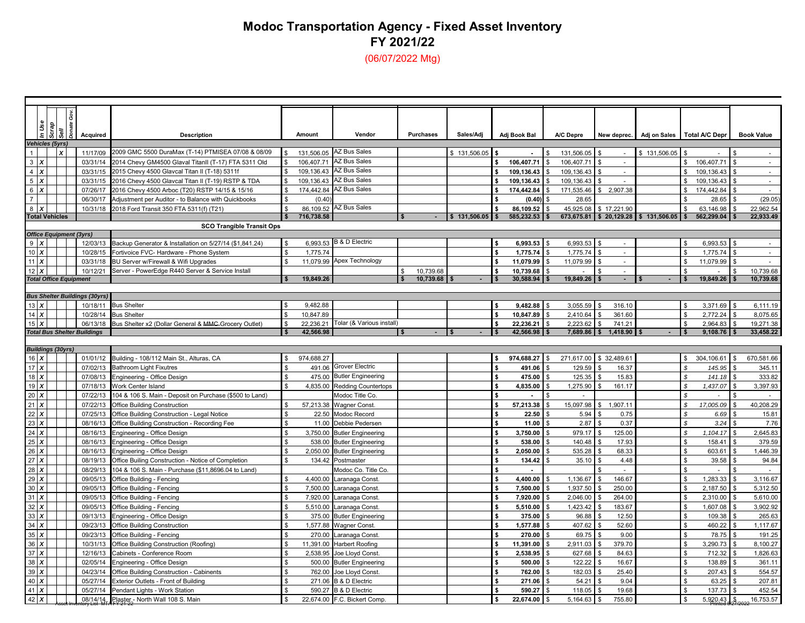# **Modoc Transportation Agency - Fixed Asset Inventory FY 2021/22**

(06/07/2022 Mtg)

| Sell<br><b>Description</b><br>Amount<br>Vendor<br><b>Purchases</b><br>Sales/Adi<br>New deprec. Adj on Sales Total A/C Depr<br>Acquired<br>Adj Book Bal<br>A/C Depre<br><b>Book Value</b><br>Vehicles (5yrs)<br><b>AZ Bus Sales</b><br>$\mathbf{x}$<br>2009 GMC 5500 DuraMax (T-14) PTMISEA 07/08 & 08/09<br>$\mathbf{1}$<br>131.506.05<br>11/17/09<br>131.506.05<br>\$131,506.05<br>\$131,506.05<br>$\sim$<br>$3 \mid x$<br><b>AZ Bus Sales</b><br>2014 Chevy GM4500 Glaval TitanII (T-17) FTA 5311 Old<br>106.407.71<br>106,407.71<br>106.407.71<br>106,407.71<br>03/31/14<br>$\sim$<br>$\sim$<br><b>AZ Bus Sales</b><br>$4 \times$<br>03/31/15<br>2015 Chevy 4500 Glavcal Titan II (T-18) 5311f<br>109.136.43<br>109,136.43<br>109,136.43<br>$\mathbf{r}$<br>109,136.43<br>$5 \times$<br>AZ Bus Sales<br>2016 Chevy 4500 Glavcal Titan II (T-19) RSTP & TDA<br>109,136.43<br>109,136.43<br>03/31/15<br>109,136.43<br>109,136.43<br>$\sim$<br>$\sim$<br>$6 \times$<br><b>AZ Bus Sales</b><br>2,907.38<br>07/26/17<br>2016 Chevy 4500 Arboc (T20) RSTP 14/15 & 15/16<br>174,442.84<br>174,442.84<br>171,535.46<br>174,442.84<br>$\sim$<br>\$<br>$\overline{7}$<br>(0.40)<br>(0.40)<br>28.65<br>(29.05)<br>06/30/17<br>Adjustment per Auditor - to Balance with Quickbooks<br>28.65<br><b>AZ Bus Sales</b><br>$8 \times$<br>86,109.52<br>86,109.52<br>45,925.08<br>63,146.98<br>22,962.54<br>10/31/18<br>2018 Ford Transit 350 FTA 5311(f) (T21)<br>\$17,221.90<br><b>Total Vehicles</b><br>716,738.58<br>\$131,506.05<br>585,232.53<br>673,675.81 \$20,129.28 \$131,506.05<br>562,299.04<br>22,933.49<br><b>SCO Trangible Transit Ops</b><br><b>Office Equipment (3yrs)</b><br><b>B &amp; D Electric</b><br>$9 \mid X$<br>6.993.53<br>6,993.53<br>6,993.53<br>6,993.53<br>12/03/13<br>Backup Generator & Installation on 5/27/14 (\$1,841.24)<br>10X<br>Fortivoice FVC- Hardware - Phone System<br>1,775.74<br>1,775.74<br>1,775.74<br>1,775.74<br>10/28/15<br>$\sim$<br>$\sim$<br>Apex Technology<br>$11$ $\bm{X}$<br>BU Server w/Firewall & Wifi Upgrades<br>11,079.99<br>11,079.99<br>11,079.99<br>11,079.99<br>03/31/18<br>$\mathbb{Z}^+$<br>$\sim$<br>$12 \mathbf{X}$<br>Server - PowerEdge R440 Server & Service Install<br>\$<br>10,739.68<br>10/12/21<br>10.739.68<br>10,739.68<br>$\sim$<br>30,588.94<br>19,849.26<br>19,849.26<br>19,849.26<br>10,739.68<br>10,739.68<br><b>Total Office Equipment</b><br>$\blacksquare$<br><b>Bus Shelter Buildings (30yrs)</b><br>$13\text{ X}$<br>10/18/11<br>9,482.88<br>316.10<br>6,111.19<br><b>Bus Shelter</b><br>9,482.88<br>3,055.59<br>3,371.69<br>$14 \mathsf{X}$<br>10.847.89<br>10,847.89<br>2.410.64<br>361.60<br>2,772.24<br>8.075.65<br>10/28/14<br><b>Bus Shelter</b><br>Tolar (& Various install)<br>15X<br>06/13/18<br>Bus Shelter x2 (Dollar General & MMC-Grocery Outlet)<br>22,236.21<br>22,236.21<br>2,223.62<br>741.21<br>2,964.83<br>19,271.38<br>33,458.22<br>42,566.98<br>42,566.98<br>1,418.90<br>9,108.76<br><b>Total Bus Shelter Buildings</b><br>7,689.86<br>s.<br><b>Buildings (30yrs)</b><br>$16 \mathsf{X}$<br>01/01/12<br>Building - 108/112 Main St., Alturas, CA<br>974,688.27<br>974,688.27<br>271,617.00 \$32,489.61<br>304,106.61<br>670,581.66<br>\$<br>\$<br>17X<br><b>Grover Electric</b><br>\$<br>\$<br>491.06<br>145.95<br>07/02/13<br><b>Bathroom Light Fixutres</b><br>491.06<br>129.59<br>16.37<br>345.11<br><b>Butler Engineering</b><br>18X<br>Engineering - Office Design<br>125.35<br>141.18<br>333.82<br>07/08/13<br>475.00<br>475.00<br>15.83<br>\$<br>19 $X$<br>4,835.00<br>\$<br>4,835.00<br>1,275.90<br>161.17<br>$\mathcal{S}$<br>1,437.07<br>3,397.93<br>07/18/13<br>Work Center Island<br><b>Redding Countertops</b><br>20 X<br>07/22/13<br>104 & 106 S. Main - Deposit on Purchase (\$500 to Land)<br>Modoc Title Co.<br>$\mathbf{r}$<br>£.<br>$\sim$<br>15,097.98<br>17,005.09<br>40,208.29<br>21<br>١x<br>57,213.38<br>57,213.38<br>1.907.1'<br>07/22/13<br><b>Office Building Construction</b><br><b>Wagner Const.</b><br>\$<br>$22 \times$<br>07/25/13<br>Office Building Construction - Legal Notice<br>22.50<br><b>Modoc Record</b><br>22.50<br>5.94<br>0.75<br>6.69<br>15.81<br>$23 \times$<br>11.00<br>2.87<br>0.37<br>$\mathcal{S}$<br>3.24<br>7.76<br>08/16/13<br>Office Building Construction - Recording Fee<br>11.00<br>Debbie Pedersen<br>$24 \times$<br>2,645.83<br>08/16/13<br>3,750.00<br>\$<br>3,750.00<br>979.17<br>125.00<br>\$<br>1,104.17<br>Engineering - Office Design<br><b>Butler Engineering</b><br>$25 \times$<br>379.59<br>08/16/13<br>Engineering - Office Design<br>538.00<br>140.48<br>17.93<br>158.41<br>538.00<br><b>Butler Engineering</b><br>$26 \times$<br>535.28<br>1,446.39<br>08/16/13<br>2,050.00<br>2,050.00<br>68.33<br>603.61<br>Engineering - Office Design<br><b>Butler Engineering</b><br>27X<br>08/19/13<br>Office Builing Construction - Notice of Completion<br>134.42<br>134.42<br>35.10<br>4.48<br>39.58<br>94.84<br>Postmaster<br>\$<br>28<br>\$<br>l x<br>08/29/13<br>104 & 106 S. Main - Purchase (\$11,8696.04 to Land)<br>Modoc Co. Title Co.<br>$\sim$<br>$\sim$<br>29X<br>4,400.00<br>1,136.67<br>146.67<br>1,283.33<br>3,116.67<br>09/05/13<br>Office Building - Fencing<br>4,400.00<br>Laranaga Const<br>30X<br>7,500.00<br>1,937.50<br>250.00<br>2,187.50<br>5,312.50<br>09/05/13<br>Office Building - Fencing<br>7,500.00<br>Laranaga Const<br>$31$ $X$<br>09/05/13<br>7,920.00<br>7,920.00<br>2,046.00<br>264.00<br>2,310.00<br>5,610.00<br>Office Building - Fencing<br>Laranaga Const<br>32X<br>1,423.42<br>183.67<br>1,607.08<br>3,902.92<br>09/05/13<br>Office Building - Fencing<br>5,510.00<br>Laranaga Const.<br>5,510.00<br>33<br>X<br>375.00<br>375.00<br>96.88<br>12.50<br>109.38<br>265.63<br>09/13/13<br>Engineering - Office Design<br><b>Butler Engineering</b><br>34X<br>09/23/13<br>1,577.88<br>1,577.88<br>407.62<br>52.60<br>460.22<br>1,117.67<br><b>Office Building Construction</b><br><b>Wagner Const.</b><br>35X<br>270.00<br>\$<br>270.00<br>69.75<br>9.00<br>78.75<br>191.25<br>09/23/13<br>Office Building - Fencing<br>Laranaga Const<br>$36 \times$<br>11,391.00<br>379.70<br>3,290.73<br>8,100.27<br>10/31/13<br>Office Building Construction (Roofing)<br>11,391.00<br>Harbert Roofing<br>\$<br>2,911.03<br>37X<br>627.68<br>84.63<br>1.826.63<br>12/16/13<br>2.538.95<br>2,538.95<br>712.32<br>Cabinets - Conference Room<br><b>Joe Llovd Const</b><br>38X<br>122.22<br>138.89<br>361.11<br>02/05/14<br>Engineering - Office Design<br>500.00<br><b>Butler Engineering</b><br>\$<br>500.00<br>16.67<br>\$<br>39X<br>554.57<br>04/23/14<br>762.00<br>\$<br>762.00<br>182.03<br>25.40<br>207.43<br>Office Building Construction - Cabinents<br>Joe Lloyd Const.<br>40X<br>Exterior Outlets - Front of Building<br>271.06<br>54.21<br>9.04<br>63.25<br>207.81<br>05/27/14<br>271.06<br><b>B &amp; D Electric</b><br>$41$ $X$<br>137.73<br>452.54<br>05/27/14<br>Pendant Lights - Work Station<br>590.27<br><b>B &amp; D Electric</b><br>\$<br>590.27<br>118.05<br>19.68<br>42 $\chi$<br>Plaster - North Wall 108 S. Main<br>22,674.00<br>755.80<br>5,920.43<br>16,753.57<br>08/14/14<br>22,674.00<br>F.C. Bickert Comp.<br>5,164.63 |  |  |  |  |  |  |  |  |  |  |  |
|----------------------------------------------------------------------------------------------------------------------------------------------------------------------------------------------------------------------------------------------------------------------------------------------------------------------------------------------------------------------------------------------------------------------------------------------------------------------------------------------------------------------------------------------------------------------------------------------------------------------------------------------------------------------------------------------------------------------------------------------------------------------------------------------------------------------------------------------------------------------------------------------------------------------------------------------------------------------------------------------------------------------------------------------------------------------------------------------------------------------------------------------------------------------------------------------------------------------------------------------------------------------------------------------------------------------------------------------------------------------------------------------------------------------------------------------------------------------------------------------------------------------------------------------------------------------------------------------------------------------------------------------------------------------------------------------------------------------------------------------------------------------------------------------------------------------------------------------------------------------------------------------------------------------------------------------------------------------------------------------------------------------------------------------------------------------------------------------------------------------------------------------------------------------------------------------------------------------------------------------------------------------------------------------------------------------------------------------------------------------------------------------------------------------------------------------------------------------------------------------------------------------------------------------------------------------------------------------------------------------------------------------------------------------------------------------------------------------------------------------------------------------------------------------------------------------------------------------------------------------------------------------------------------------------------------------------------------------------------------------------------------------------------------------------------------------------------------------------------------------------------------------------------------------------------------------------------------------------------------------------------------------------------------------------------------------------------------------------------------------------------------------------------------------------------------------------------------------------------------------------------------------------------------------------------------------------------------------------------------------------------------------------------------------------------------------------------------------------------------------------------------------------------------------------------------------------------------------------------------------------------------------------------------------------------------------------------------------------------------------------------------------------------------------------------------------------------------------------------------------------------------------------------------------------------------------------------------------------------------------------------------------------------------------------------------------------------------------------------------------------------------------------------------------------------------------------------------------------------------------------------------------------------------------------------------------------------------------------------------------------------------------------------------------------------------------------------------------------------------------------------------------------------------------------------------------------------------------------------------------------------------------------------------------------------------------------------------------------------------------------------------------------------------------------------------------------------------------------------------------------------------------------------------------------------------------------------------------------------------------------------------------------------------------------------------------------------------------------------------------------------------------------------------------------------------------------------------------------------------------------------------------------------------------------------------------------------------------------------------------------------------------------------------------------------------------------------------------------------------------------------------------------------------------------------------------------------------------------------------------------------------------------------------------------------------------------------------------------------------------------------------------------------------------------------------------------------------------------------------------------------------------------------------------------------------------------------------------------------------------------------------------------------------------------------------------------------------------------------------------------------------------------------------------------------------------------------------------------------------------------------------------------------------------------------------------------------------------------------------------------------------------------------------------------------------------------------------------------------------------------------------------------------------------------------------------------------------------------------------------------------------------------------------------------------------------------------------------------------------------------------------------------------------------------------------------------------------------------------------------------------------------------------------------------------------------------------------------------------------|--|--|--|--|--|--|--|--|--|--|--|
|                                                                                                                                                                                                                                                                                                                                                                                                                                                                                                                                                                                                                                                                                                                                                                                                                                                                                                                                                                                                                                                                                                                                                                                                                                                                                                                                                                                                                                                                                                                                                                                                                                                                                                                                                                                                                                                                                                                                                                                                                                                                                                                                                                                                                                                                                                                                                                                                                                                                                                                                                                                                                                                                                                                                                                                                                                                                                                                                                                                                                                                                                                                                                                                                                                                                                                                                                                                                                                                                                                                                                                                                                                                                                                                                                                                                                                                                                                                                                                                                                                                                                                                                                                                                                                                                                                                                                                                                                                                                                                                                                                                                                                                                                                                                                                                                                                                                                                                                                                                                                                                                                                                                                                                                                                                                                                                                                                                                                                                                                                                                                                                                                                                                                                                                                                                                                                                                                                                                                                                                                                                                                                                                                                                                                                                                                                                                                                                                                                                                                                                                                                                                                                                                                                                                                                                                                                                                                                                                                                                                                                                                                                                                                                                                                                        |  |  |  |  |  |  |  |  |  |  |  |
|                                                                                                                                                                                                                                                                                                                                                                                                                                                                                                                                                                                                                                                                                                                                                                                                                                                                                                                                                                                                                                                                                                                                                                                                                                                                                                                                                                                                                                                                                                                                                                                                                                                                                                                                                                                                                                                                                                                                                                                                                                                                                                                                                                                                                                                                                                                                                                                                                                                                                                                                                                                                                                                                                                                                                                                                                                                                                                                                                                                                                                                                                                                                                                                                                                                                                                                                                                                                                                                                                                                                                                                                                                                                                                                                                                                                                                                                                                                                                                                                                                                                                                                                                                                                                                                                                                                                                                                                                                                                                                                                                                                                                                                                                                                                                                                                                                                                                                                                                                                                                                                                                                                                                                                                                                                                                                                                                                                                                                                                                                                                                                                                                                                                                                                                                                                                                                                                                                                                                                                                                                                                                                                                                                                                                                                                                                                                                                                                                                                                                                                                                                                                                                                                                                                                                                                                                                                                                                                                                                                                                                                                                                                                                                                                                                        |  |  |  |  |  |  |  |  |  |  |  |
|                                                                                                                                                                                                                                                                                                                                                                                                                                                                                                                                                                                                                                                                                                                                                                                                                                                                                                                                                                                                                                                                                                                                                                                                                                                                                                                                                                                                                                                                                                                                                                                                                                                                                                                                                                                                                                                                                                                                                                                                                                                                                                                                                                                                                                                                                                                                                                                                                                                                                                                                                                                                                                                                                                                                                                                                                                                                                                                                                                                                                                                                                                                                                                                                                                                                                                                                                                                                                                                                                                                                                                                                                                                                                                                                                                                                                                                                                                                                                                                                                                                                                                                                                                                                                                                                                                                                                                                                                                                                                                                                                                                                                                                                                                                                                                                                                                                                                                                                                                                                                                                                                                                                                                                                                                                                                                                                                                                                                                                                                                                                                                                                                                                                                                                                                                                                                                                                                                                                                                                                                                                                                                                                                                                                                                                                                                                                                                                                                                                                                                                                                                                                                                                                                                                                                                                                                                                                                                                                                                                                                                                                                                                                                                                                                                        |  |  |  |  |  |  |  |  |  |  |  |
|                                                                                                                                                                                                                                                                                                                                                                                                                                                                                                                                                                                                                                                                                                                                                                                                                                                                                                                                                                                                                                                                                                                                                                                                                                                                                                                                                                                                                                                                                                                                                                                                                                                                                                                                                                                                                                                                                                                                                                                                                                                                                                                                                                                                                                                                                                                                                                                                                                                                                                                                                                                                                                                                                                                                                                                                                                                                                                                                                                                                                                                                                                                                                                                                                                                                                                                                                                                                                                                                                                                                                                                                                                                                                                                                                                                                                                                                                                                                                                                                                                                                                                                                                                                                                                                                                                                                                                                                                                                                                                                                                                                                                                                                                                                                                                                                                                                                                                                                                                                                                                                                                                                                                                                                                                                                                                                                                                                                                                                                                                                                                                                                                                                                                                                                                                                                                                                                                                                                                                                                                                                                                                                                                                                                                                                                                                                                                                                                                                                                                                                                                                                                                                                                                                                                                                                                                                                                                                                                                                                                                                                                                                                                                                                                                                        |  |  |  |  |  |  |  |  |  |  |  |
|                                                                                                                                                                                                                                                                                                                                                                                                                                                                                                                                                                                                                                                                                                                                                                                                                                                                                                                                                                                                                                                                                                                                                                                                                                                                                                                                                                                                                                                                                                                                                                                                                                                                                                                                                                                                                                                                                                                                                                                                                                                                                                                                                                                                                                                                                                                                                                                                                                                                                                                                                                                                                                                                                                                                                                                                                                                                                                                                                                                                                                                                                                                                                                                                                                                                                                                                                                                                                                                                                                                                                                                                                                                                                                                                                                                                                                                                                                                                                                                                                                                                                                                                                                                                                                                                                                                                                                                                                                                                                                                                                                                                                                                                                                                                                                                                                                                                                                                                                                                                                                                                                                                                                                                                                                                                                                                                                                                                                                                                                                                                                                                                                                                                                                                                                                                                                                                                                                                                                                                                                                                                                                                                                                                                                                                                                                                                                                                                                                                                                                                                                                                                                                                                                                                                                                                                                                                                                                                                                                                                                                                                                                                                                                                                                                        |  |  |  |  |  |  |  |  |  |  |  |
|                                                                                                                                                                                                                                                                                                                                                                                                                                                                                                                                                                                                                                                                                                                                                                                                                                                                                                                                                                                                                                                                                                                                                                                                                                                                                                                                                                                                                                                                                                                                                                                                                                                                                                                                                                                                                                                                                                                                                                                                                                                                                                                                                                                                                                                                                                                                                                                                                                                                                                                                                                                                                                                                                                                                                                                                                                                                                                                                                                                                                                                                                                                                                                                                                                                                                                                                                                                                                                                                                                                                                                                                                                                                                                                                                                                                                                                                                                                                                                                                                                                                                                                                                                                                                                                                                                                                                                                                                                                                                                                                                                                                                                                                                                                                                                                                                                                                                                                                                                                                                                                                                                                                                                                                                                                                                                                                                                                                                                                                                                                                                                                                                                                                                                                                                                                                                                                                                                                                                                                                                                                                                                                                                                                                                                                                                                                                                                                                                                                                                                                                                                                                                                                                                                                                                                                                                                                                                                                                                                                                                                                                                                                                                                                                                                        |  |  |  |  |  |  |  |  |  |  |  |
|                                                                                                                                                                                                                                                                                                                                                                                                                                                                                                                                                                                                                                                                                                                                                                                                                                                                                                                                                                                                                                                                                                                                                                                                                                                                                                                                                                                                                                                                                                                                                                                                                                                                                                                                                                                                                                                                                                                                                                                                                                                                                                                                                                                                                                                                                                                                                                                                                                                                                                                                                                                                                                                                                                                                                                                                                                                                                                                                                                                                                                                                                                                                                                                                                                                                                                                                                                                                                                                                                                                                                                                                                                                                                                                                                                                                                                                                                                                                                                                                                                                                                                                                                                                                                                                                                                                                                                                                                                                                                                                                                                                                                                                                                                                                                                                                                                                                                                                                                                                                                                                                                                                                                                                                                                                                                                                                                                                                                                                                                                                                                                                                                                                                                                                                                                                                                                                                                                                                                                                                                                                                                                                                                                                                                                                                                                                                                                                                                                                                                                                                                                                                                                                                                                                                                                                                                                                                                                                                                                                                                                                                                                                                                                                                                                        |  |  |  |  |  |  |  |  |  |  |  |
|                                                                                                                                                                                                                                                                                                                                                                                                                                                                                                                                                                                                                                                                                                                                                                                                                                                                                                                                                                                                                                                                                                                                                                                                                                                                                                                                                                                                                                                                                                                                                                                                                                                                                                                                                                                                                                                                                                                                                                                                                                                                                                                                                                                                                                                                                                                                                                                                                                                                                                                                                                                                                                                                                                                                                                                                                                                                                                                                                                                                                                                                                                                                                                                                                                                                                                                                                                                                                                                                                                                                                                                                                                                                                                                                                                                                                                                                                                                                                                                                                                                                                                                                                                                                                                                                                                                                                                                                                                                                                                                                                                                                                                                                                                                                                                                                                                                                                                                                                                                                                                                                                                                                                                                                                                                                                                                                                                                                                                                                                                                                                                                                                                                                                                                                                                                                                                                                                                                                                                                                                                                                                                                                                                                                                                                                                                                                                                                                                                                                                                                                                                                                                                                                                                                                                                                                                                                                                                                                                                                                                                                                                                                                                                                                                                        |  |  |  |  |  |  |  |  |  |  |  |
|                                                                                                                                                                                                                                                                                                                                                                                                                                                                                                                                                                                                                                                                                                                                                                                                                                                                                                                                                                                                                                                                                                                                                                                                                                                                                                                                                                                                                                                                                                                                                                                                                                                                                                                                                                                                                                                                                                                                                                                                                                                                                                                                                                                                                                                                                                                                                                                                                                                                                                                                                                                                                                                                                                                                                                                                                                                                                                                                                                                                                                                                                                                                                                                                                                                                                                                                                                                                                                                                                                                                                                                                                                                                                                                                                                                                                                                                                                                                                                                                                                                                                                                                                                                                                                                                                                                                                                                                                                                                                                                                                                                                                                                                                                                                                                                                                                                                                                                                                                                                                                                                                                                                                                                                                                                                                                                                                                                                                                                                                                                                                                                                                                                                                                                                                                                                                                                                                                                                                                                                                                                                                                                                                                                                                                                                                                                                                                                                                                                                                                                                                                                                                                                                                                                                                                                                                                                                                                                                                                                                                                                                                                                                                                                                                                        |  |  |  |  |  |  |  |  |  |  |  |
|                                                                                                                                                                                                                                                                                                                                                                                                                                                                                                                                                                                                                                                                                                                                                                                                                                                                                                                                                                                                                                                                                                                                                                                                                                                                                                                                                                                                                                                                                                                                                                                                                                                                                                                                                                                                                                                                                                                                                                                                                                                                                                                                                                                                                                                                                                                                                                                                                                                                                                                                                                                                                                                                                                                                                                                                                                                                                                                                                                                                                                                                                                                                                                                                                                                                                                                                                                                                                                                                                                                                                                                                                                                                                                                                                                                                                                                                                                                                                                                                                                                                                                                                                                                                                                                                                                                                                                                                                                                                                                                                                                                                                                                                                                                                                                                                                                                                                                                                                                                                                                                                                                                                                                                                                                                                                                                                                                                                                                                                                                                                                                                                                                                                                                                                                                                                                                                                                                                                                                                                                                                                                                                                                                                                                                                                                                                                                                                                                                                                                                                                                                                                                                                                                                                                                                                                                                                                                                                                                                                                                                                                                                                                                                                                                                        |  |  |  |  |  |  |  |  |  |  |  |
|                                                                                                                                                                                                                                                                                                                                                                                                                                                                                                                                                                                                                                                                                                                                                                                                                                                                                                                                                                                                                                                                                                                                                                                                                                                                                                                                                                                                                                                                                                                                                                                                                                                                                                                                                                                                                                                                                                                                                                                                                                                                                                                                                                                                                                                                                                                                                                                                                                                                                                                                                                                                                                                                                                                                                                                                                                                                                                                                                                                                                                                                                                                                                                                                                                                                                                                                                                                                                                                                                                                                                                                                                                                                                                                                                                                                                                                                                                                                                                                                                                                                                                                                                                                                                                                                                                                                                                                                                                                                                                                                                                                                                                                                                                                                                                                                                                                                                                                                                                                                                                                                                                                                                                                                                                                                                                                                                                                                                                                                                                                                                                                                                                                                                                                                                                                                                                                                                                                                                                                                                                                                                                                                                                                                                                                                                                                                                                                                                                                                                                                                                                                                                                                                                                                                                                                                                                                                                                                                                                                                                                                                                                                                                                                                                                        |  |  |  |  |  |  |  |  |  |  |  |
|                                                                                                                                                                                                                                                                                                                                                                                                                                                                                                                                                                                                                                                                                                                                                                                                                                                                                                                                                                                                                                                                                                                                                                                                                                                                                                                                                                                                                                                                                                                                                                                                                                                                                                                                                                                                                                                                                                                                                                                                                                                                                                                                                                                                                                                                                                                                                                                                                                                                                                                                                                                                                                                                                                                                                                                                                                                                                                                                                                                                                                                                                                                                                                                                                                                                                                                                                                                                                                                                                                                                                                                                                                                                                                                                                                                                                                                                                                                                                                                                                                                                                                                                                                                                                                                                                                                                                                                                                                                                                                                                                                                                                                                                                                                                                                                                                                                                                                                                                                                                                                                                                                                                                                                                                                                                                                                                                                                                                                                                                                                                                                                                                                                                                                                                                                                                                                                                                                                                                                                                                                                                                                                                                                                                                                                                                                                                                                                                                                                                                                                                                                                                                                                                                                                                                                                                                                                                                                                                                                                                                                                                                                                                                                                                                                        |  |  |  |  |  |  |  |  |  |  |  |
|                                                                                                                                                                                                                                                                                                                                                                                                                                                                                                                                                                                                                                                                                                                                                                                                                                                                                                                                                                                                                                                                                                                                                                                                                                                                                                                                                                                                                                                                                                                                                                                                                                                                                                                                                                                                                                                                                                                                                                                                                                                                                                                                                                                                                                                                                                                                                                                                                                                                                                                                                                                                                                                                                                                                                                                                                                                                                                                                                                                                                                                                                                                                                                                                                                                                                                                                                                                                                                                                                                                                                                                                                                                                                                                                                                                                                                                                                                                                                                                                                                                                                                                                                                                                                                                                                                                                                                                                                                                                                                                                                                                                                                                                                                                                                                                                                                                                                                                                                                                                                                                                                                                                                                                                                                                                                                                                                                                                                                                                                                                                                                                                                                                                                                                                                                                                                                                                                                                                                                                                                                                                                                                                                                                                                                                                                                                                                                                                                                                                                                                                                                                                                                                                                                                                                                                                                                                                                                                                                                                                                                                                                                                                                                                                                                        |  |  |  |  |  |  |  |  |  |  |  |
|                                                                                                                                                                                                                                                                                                                                                                                                                                                                                                                                                                                                                                                                                                                                                                                                                                                                                                                                                                                                                                                                                                                                                                                                                                                                                                                                                                                                                                                                                                                                                                                                                                                                                                                                                                                                                                                                                                                                                                                                                                                                                                                                                                                                                                                                                                                                                                                                                                                                                                                                                                                                                                                                                                                                                                                                                                                                                                                                                                                                                                                                                                                                                                                                                                                                                                                                                                                                                                                                                                                                                                                                                                                                                                                                                                                                                                                                                                                                                                                                                                                                                                                                                                                                                                                                                                                                                                                                                                                                                                                                                                                                                                                                                                                                                                                                                                                                                                                                                                                                                                                                                                                                                                                                                                                                                                                                                                                                                                                                                                                                                                                                                                                                                                                                                                                                                                                                                                                                                                                                                                                                                                                                                                                                                                                                                                                                                                                                                                                                                                                                                                                                                                                                                                                                                                                                                                                                                                                                                                                                                                                                                                                                                                                                                                        |  |  |  |  |  |  |  |  |  |  |  |
|                                                                                                                                                                                                                                                                                                                                                                                                                                                                                                                                                                                                                                                                                                                                                                                                                                                                                                                                                                                                                                                                                                                                                                                                                                                                                                                                                                                                                                                                                                                                                                                                                                                                                                                                                                                                                                                                                                                                                                                                                                                                                                                                                                                                                                                                                                                                                                                                                                                                                                                                                                                                                                                                                                                                                                                                                                                                                                                                                                                                                                                                                                                                                                                                                                                                                                                                                                                                                                                                                                                                                                                                                                                                                                                                                                                                                                                                                                                                                                                                                                                                                                                                                                                                                                                                                                                                                                                                                                                                                                                                                                                                                                                                                                                                                                                                                                                                                                                                                                                                                                                                                                                                                                                                                                                                                                                                                                                                                                                                                                                                                                                                                                                                                                                                                                                                                                                                                                                                                                                                                                                                                                                                                                                                                                                                                                                                                                                                                                                                                                                                                                                                                                                                                                                                                                                                                                                                                                                                                                                                                                                                                                                                                                                                                                        |  |  |  |  |  |  |  |  |  |  |  |
|                                                                                                                                                                                                                                                                                                                                                                                                                                                                                                                                                                                                                                                                                                                                                                                                                                                                                                                                                                                                                                                                                                                                                                                                                                                                                                                                                                                                                                                                                                                                                                                                                                                                                                                                                                                                                                                                                                                                                                                                                                                                                                                                                                                                                                                                                                                                                                                                                                                                                                                                                                                                                                                                                                                                                                                                                                                                                                                                                                                                                                                                                                                                                                                                                                                                                                                                                                                                                                                                                                                                                                                                                                                                                                                                                                                                                                                                                                                                                                                                                                                                                                                                                                                                                                                                                                                                                                                                                                                                                                                                                                                                                                                                                                                                                                                                                                                                                                                                                                                                                                                                                                                                                                                                                                                                                                                                                                                                                                                                                                                                                                                                                                                                                                                                                                                                                                                                                                                                                                                                                                                                                                                                                                                                                                                                                                                                                                                                                                                                                                                                                                                                                                                                                                                                                                                                                                                                                                                                                                                                                                                                                                                                                                                                                                        |  |  |  |  |  |  |  |  |  |  |  |
|                                                                                                                                                                                                                                                                                                                                                                                                                                                                                                                                                                                                                                                                                                                                                                                                                                                                                                                                                                                                                                                                                                                                                                                                                                                                                                                                                                                                                                                                                                                                                                                                                                                                                                                                                                                                                                                                                                                                                                                                                                                                                                                                                                                                                                                                                                                                                                                                                                                                                                                                                                                                                                                                                                                                                                                                                                                                                                                                                                                                                                                                                                                                                                                                                                                                                                                                                                                                                                                                                                                                                                                                                                                                                                                                                                                                                                                                                                                                                                                                                                                                                                                                                                                                                                                                                                                                                                                                                                                                                                                                                                                                                                                                                                                                                                                                                                                                                                                                                                                                                                                                                                                                                                                                                                                                                                                                                                                                                                                                                                                                                                                                                                                                                                                                                                                                                                                                                                                                                                                                                                                                                                                                                                                                                                                                                                                                                                                                                                                                                                                                                                                                                                                                                                                                                                                                                                                                                                                                                                                                                                                                                                                                                                                                                                        |  |  |  |  |  |  |  |  |  |  |  |
|                                                                                                                                                                                                                                                                                                                                                                                                                                                                                                                                                                                                                                                                                                                                                                                                                                                                                                                                                                                                                                                                                                                                                                                                                                                                                                                                                                                                                                                                                                                                                                                                                                                                                                                                                                                                                                                                                                                                                                                                                                                                                                                                                                                                                                                                                                                                                                                                                                                                                                                                                                                                                                                                                                                                                                                                                                                                                                                                                                                                                                                                                                                                                                                                                                                                                                                                                                                                                                                                                                                                                                                                                                                                                                                                                                                                                                                                                                                                                                                                                                                                                                                                                                                                                                                                                                                                                                                                                                                                                                                                                                                                                                                                                                                                                                                                                                                                                                                                                                                                                                                                                                                                                                                                                                                                                                                                                                                                                                                                                                                                                                                                                                                                                                                                                                                                                                                                                                                                                                                                                                                                                                                                                                                                                                                                                                                                                                                                                                                                                                                                                                                                                                                                                                                                                                                                                                                                                                                                                                                                                                                                                                                                                                                                                                        |  |  |  |  |  |  |  |  |  |  |  |
|                                                                                                                                                                                                                                                                                                                                                                                                                                                                                                                                                                                                                                                                                                                                                                                                                                                                                                                                                                                                                                                                                                                                                                                                                                                                                                                                                                                                                                                                                                                                                                                                                                                                                                                                                                                                                                                                                                                                                                                                                                                                                                                                                                                                                                                                                                                                                                                                                                                                                                                                                                                                                                                                                                                                                                                                                                                                                                                                                                                                                                                                                                                                                                                                                                                                                                                                                                                                                                                                                                                                                                                                                                                                                                                                                                                                                                                                                                                                                                                                                                                                                                                                                                                                                                                                                                                                                                                                                                                                                                                                                                                                                                                                                                                                                                                                                                                                                                                                                                                                                                                                                                                                                                                                                                                                                                                                                                                                                                                                                                                                                                                                                                                                                                                                                                                                                                                                                                                                                                                                                                                                                                                                                                                                                                                                                                                                                                                                                                                                                                                                                                                                                                                                                                                                                                                                                                                                                                                                                                                                                                                                                                                                                                                                                                        |  |  |  |  |  |  |  |  |  |  |  |
|                                                                                                                                                                                                                                                                                                                                                                                                                                                                                                                                                                                                                                                                                                                                                                                                                                                                                                                                                                                                                                                                                                                                                                                                                                                                                                                                                                                                                                                                                                                                                                                                                                                                                                                                                                                                                                                                                                                                                                                                                                                                                                                                                                                                                                                                                                                                                                                                                                                                                                                                                                                                                                                                                                                                                                                                                                                                                                                                                                                                                                                                                                                                                                                                                                                                                                                                                                                                                                                                                                                                                                                                                                                                                                                                                                                                                                                                                                                                                                                                                                                                                                                                                                                                                                                                                                                                                                                                                                                                                                                                                                                                                                                                                                                                                                                                                                                                                                                                                                                                                                                                                                                                                                                                                                                                                                                                                                                                                                                                                                                                                                                                                                                                                                                                                                                                                                                                                                                                                                                                                                                                                                                                                                                                                                                                                                                                                                                                                                                                                                                                                                                                                                                                                                                                                                                                                                                                                                                                                                                                                                                                                                                                                                                                                                        |  |  |  |  |  |  |  |  |  |  |  |
|                                                                                                                                                                                                                                                                                                                                                                                                                                                                                                                                                                                                                                                                                                                                                                                                                                                                                                                                                                                                                                                                                                                                                                                                                                                                                                                                                                                                                                                                                                                                                                                                                                                                                                                                                                                                                                                                                                                                                                                                                                                                                                                                                                                                                                                                                                                                                                                                                                                                                                                                                                                                                                                                                                                                                                                                                                                                                                                                                                                                                                                                                                                                                                                                                                                                                                                                                                                                                                                                                                                                                                                                                                                                                                                                                                                                                                                                                                                                                                                                                                                                                                                                                                                                                                                                                                                                                                                                                                                                                                                                                                                                                                                                                                                                                                                                                                                                                                                                                                                                                                                                                                                                                                                                                                                                                                                                                                                                                                                                                                                                                                                                                                                                                                                                                                                                                                                                                                                                                                                                                                                                                                                                                                                                                                                                                                                                                                                                                                                                                                                                                                                                                                                                                                                                                                                                                                                                                                                                                                                                                                                                                                                                                                                                                                        |  |  |  |  |  |  |  |  |  |  |  |
|                                                                                                                                                                                                                                                                                                                                                                                                                                                                                                                                                                                                                                                                                                                                                                                                                                                                                                                                                                                                                                                                                                                                                                                                                                                                                                                                                                                                                                                                                                                                                                                                                                                                                                                                                                                                                                                                                                                                                                                                                                                                                                                                                                                                                                                                                                                                                                                                                                                                                                                                                                                                                                                                                                                                                                                                                                                                                                                                                                                                                                                                                                                                                                                                                                                                                                                                                                                                                                                                                                                                                                                                                                                                                                                                                                                                                                                                                                                                                                                                                                                                                                                                                                                                                                                                                                                                                                                                                                                                                                                                                                                                                                                                                                                                                                                                                                                                                                                                                                                                                                                                                                                                                                                                                                                                                                                                                                                                                                                                                                                                                                                                                                                                                                                                                                                                                                                                                                                                                                                                                                                                                                                                                                                                                                                                                                                                                                                                                                                                                                                                                                                                                                                                                                                                                                                                                                                                                                                                                                                                                                                                                                                                                                                                                                        |  |  |  |  |  |  |  |  |  |  |  |
|                                                                                                                                                                                                                                                                                                                                                                                                                                                                                                                                                                                                                                                                                                                                                                                                                                                                                                                                                                                                                                                                                                                                                                                                                                                                                                                                                                                                                                                                                                                                                                                                                                                                                                                                                                                                                                                                                                                                                                                                                                                                                                                                                                                                                                                                                                                                                                                                                                                                                                                                                                                                                                                                                                                                                                                                                                                                                                                                                                                                                                                                                                                                                                                                                                                                                                                                                                                                                                                                                                                                                                                                                                                                                                                                                                                                                                                                                                                                                                                                                                                                                                                                                                                                                                                                                                                                                                                                                                                                                                                                                                                                                                                                                                                                                                                                                                                                                                                                                                                                                                                                                                                                                                                                                                                                                                                                                                                                                                                                                                                                                                                                                                                                                                                                                                                                                                                                                                                                                                                                                                                                                                                                                                                                                                                                                                                                                                                                                                                                                                                                                                                                                                                                                                                                                                                                                                                                                                                                                                                                                                                                                                                                                                                                                                        |  |  |  |  |  |  |  |  |  |  |  |
|                                                                                                                                                                                                                                                                                                                                                                                                                                                                                                                                                                                                                                                                                                                                                                                                                                                                                                                                                                                                                                                                                                                                                                                                                                                                                                                                                                                                                                                                                                                                                                                                                                                                                                                                                                                                                                                                                                                                                                                                                                                                                                                                                                                                                                                                                                                                                                                                                                                                                                                                                                                                                                                                                                                                                                                                                                                                                                                                                                                                                                                                                                                                                                                                                                                                                                                                                                                                                                                                                                                                                                                                                                                                                                                                                                                                                                                                                                                                                                                                                                                                                                                                                                                                                                                                                                                                                                                                                                                                                                                                                                                                                                                                                                                                                                                                                                                                                                                                                                                                                                                                                                                                                                                                                                                                                                                                                                                                                                                                                                                                                                                                                                                                                                                                                                                                                                                                                                                                                                                                                                                                                                                                                                                                                                                                                                                                                                                                                                                                                                                                                                                                                                                                                                                                                                                                                                                                                                                                                                                                                                                                                                                                                                                                                                        |  |  |  |  |  |  |  |  |  |  |  |
|                                                                                                                                                                                                                                                                                                                                                                                                                                                                                                                                                                                                                                                                                                                                                                                                                                                                                                                                                                                                                                                                                                                                                                                                                                                                                                                                                                                                                                                                                                                                                                                                                                                                                                                                                                                                                                                                                                                                                                                                                                                                                                                                                                                                                                                                                                                                                                                                                                                                                                                                                                                                                                                                                                                                                                                                                                                                                                                                                                                                                                                                                                                                                                                                                                                                                                                                                                                                                                                                                                                                                                                                                                                                                                                                                                                                                                                                                                                                                                                                                                                                                                                                                                                                                                                                                                                                                                                                                                                                                                                                                                                                                                                                                                                                                                                                                                                                                                                                                                                                                                                                                                                                                                                                                                                                                                                                                                                                                                                                                                                                                                                                                                                                                                                                                                                                                                                                                                                                                                                                                                                                                                                                                                                                                                                                                                                                                                                                                                                                                                                                                                                                                                                                                                                                                                                                                                                                                                                                                                                                                                                                                                                                                                                                                                        |  |  |  |  |  |  |  |  |  |  |  |
|                                                                                                                                                                                                                                                                                                                                                                                                                                                                                                                                                                                                                                                                                                                                                                                                                                                                                                                                                                                                                                                                                                                                                                                                                                                                                                                                                                                                                                                                                                                                                                                                                                                                                                                                                                                                                                                                                                                                                                                                                                                                                                                                                                                                                                                                                                                                                                                                                                                                                                                                                                                                                                                                                                                                                                                                                                                                                                                                                                                                                                                                                                                                                                                                                                                                                                                                                                                                                                                                                                                                                                                                                                                                                                                                                                                                                                                                                                                                                                                                                                                                                                                                                                                                                                                                                                                                                                                                                                                                                                                                                                                                                                                                                                                                                                                                                                                                                                                                                                                                                                                                                                                                                                                                                                                                                                                                                                                                                                                                                                                                                                                                                                                                                                                                                                                                                                                                                                                                                                                                                                                                                                                                                                                                                                                                                                                                                                                                                                                                                                                                                                                                                                                                                                                                                                                                                                                                                                                                                                                                                                                                                                                                                                                                                                        |  |  |  |  |  |  |  |  |  |  |  |
|                                                                                                                                                                                                                                                                                                                                                                                                                                                                                                                                                                                                                                                                                                                                                                                                                                                                                                                                                                                                                                                                                                                                                                                                                                                                                                                                                                                                                                                                                                                                                                                                                                                                                                                                                                                                                                                                                                                                                                                                                                                                                                                                                                                                                                                                                                                                                                                                                                                                                                                                                                                                                                                                                                                                                                                                                                                                                                                                                                                                                                                                                                                                                                                                                                                                                                                                                                                                                                                                                                                                                                                                                                                                                                                                                                                                                                                                                                                                                                                                                                                                                                                                                                                                                                                                                                                                                                                                                                                                                                                                                                                                                                                                                                                                                                                                                                                                                                                                                                                                                                                                                                                                                                                                                                                                                                                                                                                                                                                                                                                                                                                                                                                                                                                                                                                                                                                                                                                                                                                                                                                                                                                                                                                                                                                                                                                                                                                                                                                                                                                                                                                                                                                                                                                                                                                                                                                                                                                                                                                                                                                                                                                                                                                                                                        |  |  |  |  |  |  |  |  |  |  |  |
|                                                                                                                                                                                                                                                                                                                                                                                                                                                                                                                                                                                                                                                                                                                                                                                                                                                                                                                                                                                                                                                                                                                                                                                                                                                                                                                                                                                                                                                                                                                                                                                                                                                                                                                                                                                                                                                                                                                                                                                                                                                                                                                                                                                                                                                                                                                                                                                                                                                                                                                                                                                                                                                                                                                                                                                                                                                                                                                                                                                                                                                                                                                                                                                                                                                                                                                                                                                                                                                                                                                                                                                                                                                                                                                                                                                                                                                                                                                                                                                                                                                                                                                                                                                                                                                                                                                                                                                                                                                                                                                                                                                                                                                                                                                                                                                                                                                                                                                                                                                                                                                                                                                                                                                                                                                                                                                                                                                                                                                                                                                                                                                                                                                                                                                                                                                                                                                                                                                                                                                                                                                                                                                                                                                                                                                                                                                                                                                                                                                                                                                                                                                                                                                                                                                                                                                                                                                                                                                                                                                                                                                                                                                                                                                                                                        |  |  |  |  |  |  |  |  |  |  |  |
|                                                                                                                                                                                                                                                                                                                                                                                                                                                                                                                                                                                                                                                                                                                                                                                                                                                                                                                                                                                                                                                                                                                                                                                                                                                                                                                                                                                                                                                                                                                                                                                                                                                                                                                                                                                                                                                                                                                                                                                                                                                                                                                                                                                                                                                                                                                                                                                                                                                                                                                                                                                                                                                                                                                                                                                                                                                                                                                                                                                                                                                                                                                                                                                                                                                                                                                                                                                                                                                                                                                                                                                                                                                                                                                                                                                                                                                                                                                                                                                                                                                                                                                                                                                                                                                                                                                                                                                                                                                                                                                                                                                                                                                                                                                                                                                                                                                                                                                                                                                                                                                                                                                                                                                                                                                                                                                                                                                                                                                                                                                                                                                                                                                                                                                                                                                                                                                                                                                                                                                                                                                                                                                                                                                                                                                                                                                                                                                                                                                                                                                                                                                                                                                                                                                                                                                                                                                                                                                                                                                                                                                                                                                                                                                                                                        |  |  |  |  |  |  |  |  |  |  |  |
|                                                                                                                                                                                                                                                                                                                                                                                                                                                                                                                                                                                                                                                                                                                                                                                                                                                                                                                                                                                                                                                                                                                                                                                                                                                                                                                                                                                                                                                                                                                                                                                                                                                                                                                                                                                                                                                                                                                                                                                                                                                                                                                                                                                                                                                                                                                                                                                                                                                                                                                                                                                                                                                                                                                                                                                                                                                                                                                                                                                                                                                                                                                                                                                                                                                                                                                                                                                                                                                                                                                                                                                                                                                                                                                                                                                                                                                                                                                                                                                                                                                                                                                                                                                                                                                                                                                                                                                                                                                                                                                                                                                                                                                                                                                                                                                                                                                                                                                                                                                                                                                                                                                                                                                                                                                                                                                                                                                                                                                                                                                                                                                                                                                                                                                                                                                                                                                                                                                                                                                                                                                                                                                                                                                                                                                                                                                                                                                                                                                                                                                                                                                                                                                                                                                                                                                                                                                                                                                                                                                                                                                                                                                                                                                                                                        |  |  |  |  |  |  |  |  |  |  |  |
|                                                                                                                                                                                                                                                                                                                                                                                                                                                                                                                                                                                                                                                                                                                                                                                                                                                                                                                                                                                                                                                                                                                                                                                                                                                                                                                                                                                                                                                                                                                                                                                                                                                                                                                                                                                                                                                                                                                                                                                                                                                                                                                                                                                                                                                                                                                                                                                                                                                                                                                                                                                                                                                                                                                                                                                                                                                                                                                                                                                                                                                                                                                                                                                                                                                                                                                                                                                                                                                                                                                                                                                                                                                                                                                                                                                                                                                                                                                                                                                                                                                                                                                                                                                                                                                                                                                                                                                                                                                                                                                                                                                                                                                                                                                                                                                                                                                                                                                                                                                                                                                                                                                                                                                                                                                                                                                                                                                                                                                                                                                                                                                                                                                                                                                                                                                                                                                                                                                                                                                                                                                                                                                                                                                                                                                                                                                                                                                                                                                                                                                                                                                                                                                                                                                                                                                                                                                                                                                                                                                                                                                                                                                                                                                                                                        |  |  |  |  |  |  |  |  |  |  |  |
|                                                                                                                                                                                                                                                                                                                                                                                                                                                                                                                                                                                                                                                                                                                                                                                                                                                                                                                                                                                                                                                                                                                                                                                                                                                                                                                                                                                                                                                                                                                                                                                                                                                                                                                                                                                                                                                                                                                                                                                                                                                                                                                                                                                                                                                                                                                                                                                                                                                                                                                                                                                                                                                                                                                                                                                                                                                                                                                                                                                                                                                                                                                                                                                                                                                                                                                                                                                                                                                                                                                                                                                                                                                                                                                                                                                                                                                                                                                                                                                                                                                                                                                                                                                                                                                                                                                                                                                                                                                                                                                                                                                                                                                                                                                                                                                                                                                                                                                                                                                                                                                                                                                                                                                                                                                                                                                                                                                                                                                                                                                                                                                                                                                                                                                                                                                                                                                                                                                                                                                                                                                                                                                                                                                                                                                                                                                                                                                                                                                                                                                                                                                                                                                                                                                                                                                                                                                                                                                                                                                                                                                                                                                                                                                                                                        |  |  |  |  |  |  |  |  |  |  |  |
|                                                                                                                                                                                                                                                                                                                                                                                                                                                                                                                                                                                                                                                                                                                                                                                                                                                                                                                                                                                                                                                                                                                                                                                                                                                                                                                                                                                                                                                                                                                                                                                                                                                                                                                                                                                                                                                                                                                                                                                                                                                                                                                                                                                                                                                                                                                                                                                                                                                                                                                                                                                                                                                                                                                                                                                                                                                                                                                                                                                                                                                                                                                                                                                                                                                                                                                                                                                                                                                                                                                                                                                                                                                                                                                                                                                                                                                                                                                                                                                                                                                                                                                                                                                                                                                                                                                                                                                                                                                                                                                                                                                                                                                                                                                                                                                                                                                                                                                                                                                                                                                                                                                                                                                                                                                                                                                                                                                                                                                                                                                                                                                                                                                                                                                                                                                                                                                                                                                                                                                                                                                                                                                                                                                                                                                                                                                                                                                                                                                                                                                                                                                                                                                                                                                                                                                                                                                                                                                                                                                                                                                                                                                                                                                                                                        |  |  |  |  |  |  |  |  |  |  |  |
|                                                                                                                                                                                                                                                                                                                                                                                                                                                                                                                                                                                                                                                                                                                                                                                                                                                                                                                                                                                                                                                                                                                                                                                                                                                                                                                                                                                                                                                                                                                                                                                                                                                                                                                                                                                                                                                                                                                                                                                                                                                                                                                                                                                                                                                                                                                                                                                                                                                                                                                                                                                                                                                                                                                                                                                                                                                                                                                                                                                                                                                                                                                                                                                                                                                                                                                                                                                                                                                                                                                                                                                                                                                                                                                                                                                                                                                                                                                                                                                                                                                                                                                                                                                                                                                                                                                                                                                                                                                                                                                                                                                                                                                                                                                                                                                                                                                                                                                                                                                                                                                                                                                                                                                                                                                                                                                                                                                                                                                                                                                                                                                                                                                                                                                                                                                                                                                                                                                                                                                                                                                                                                                                                                                                                                                                                                                                                                                                                                                                                                                                                                                                                                                                                                                                                                                                                                                                                                                                                                                                                                                                                                                                                                                                                                        |  |  |  |  |  |  |  |  |  |  |  |
|                                                                                                                                                                                                                                                                                                                                                                                                                                                                                                                                                                                                                                                                                                                                                                                                                                                                                                                                                                                                                                                                                                                                                                                                                                                                                                                                                                                                                                                                                                                                                                                                                                                                                                                                                                                                                                                                                                                                                                                                                                                                                                                                                                                                                                                                                                                                                                                                                                                                                                                                                                                                                                                                                                                                                                                                                                                                                                                                                                                                                                                                                                                                                                                                                                                                                                                                                                                                                                                                                                                                                                                                                                                                                                                                                                                                                                                                                                                                                                                                                                                                                                                                                                                                                                                                                                                                                                                                                                                                                                                                                                                                                                                                                                                                                                                                                                                                                                                                                                                                                                                                                                                                                                                                                                                                                                                                                                                                                                                                                                                                                                                                                                                                                                                                                                                                                                                                                                                                                                                                                                                                                                                                                                                                                                                                                                                                                                                                                                                                                                                                                                                                                                                                                                                                                                                                                                                                                                                                                                                                                                                                                                                                                                                                                                        |  |  |  |  |  |  |  |  |  |  |  |
|                                                                                                                                                                                                                                                                                                                                                                                                                                                                                                                                                                                                                                                                                                                                                                                                                                                                                                                                                                                                                                                                                                                                                                                                                                                                                                                                                                                                                                                                                                                                                                                                                                                                                                                                                                                                                                                                                                                                                                                                                                                                                                                                                                                                                                                                                                                                                                                                                                                                                                                                                                                                                                                                                                                                                                                                                                                                                                                                                                                                                                                                                                                                                                                                                                                                                                                                                                                                                                                                                                                                                                                                                                                                                                                                                                                                                                                                                                                                                                                                                                                                                                                                                                                                                                                                                                                                                                                                                                                                                                                                                                                                                                                                                                                                                                                                                                                                                                                                                                                                                                                                                                                                                                                                                                                                                                                                                                                                                                                                                                                                                                                                                                                                                                                                                                                                                                                                                                                                                                                                                                                                                                                                                                                                                                                                                                                                                                                                                                                                                                                                                                                                                                                                                                                                                                                                                                                                                                                                                                                                                                                                                                                                                                                                                                        |  |  |  |  |  |  |  |  |  |  |  |
|                                                                                                                                                                                                                                                                                                                                                                                                                                                                                                                                                                                                                                                                                                                                                                                                                                                                                                                                                                                                                                                                                                                                                                                                                                                                                                                                                                                                                                                                                                                                                                                                                                                                                                                                                                                                                                                                                                                                                                                                                                                                                                                                                                                                                                                                                                                                                                                                                                                                                                                                                                                                                                                                                                                                                                                                                                                                                                                                                                                                                                                                                                                                                                                                                                                                                                                                                                                                                                                                                                                                                                                                                                                                                                                                                                                                                                                                                                                                                                                                                                                                                                                                                                                                                                                                                                                                                                                                                                                                                                                                                                                                                                                                                                                                                                                                                                                                                                                                                                                                                                                                                                                                                                                                                                                                                                                                                                                                                                                                                                                                                                                                                                                                                                                                                                                                                                                                                                                                                                                                                                                                                                                                                                                                                                                                                                                                                                                                                                                                                                                                                                                                                                                                                                                                                                                                                                                                                                                                                                                                                                                                                                                                                                                                                                        |  |  |  |  |  |  |  |  |  |  |  |
|                                                                                                                                                                                                                                                                                                                                                                                                                                                                                                                                                                                                                                                                                                                                                                                                                                                                                                                                                                                                                                                                                                                                                                                                                                                                                                                                                                                                                                                                                                                                                                                                                                                                                                                                                                                                                                                                                                                                                                                                                                                                                                                                                                                                                                                                                                                                                                                                                                                                                                                                                                                                                                                                                                                                                                                                                                                                                                                                                                                                                                                                                                                                                                                                                                                                                                                                                                                                                                                                                                                                                                                                                                                                                                                                                                                                                                                                                                                                                                                                                                                                                                                                                                                                                                                                                                                                                                                                                                                                                                                                                                                                                                                                                                                                                                                                                                                                                                                                                                                                                                                                                                                                                                                                                                                                                                                                                                                                                                                                                                                                                                                                                                                                                                                                                                                                                                                                                                                                                                                                                                                                                                                                                                                                                                                                                                                                                                                                                                                                                                                                                                                                                                                                                                                                                                                                                                                                                                                                                                                                                                                                                                                                                                                                                                        |  |  |  |  |  |  |  |  |  |  |  |
|                                                                                                                                                                                                                                                                                                                                                                                                                                                                                                                                                                                                                                                                                                                                                                                                                                                                                                                                                                                                                                                                                                                                                                                                                                                                                                                                                                                                                                                                                                                                                                                                                                                                                                                                                                                                                                                                                                                                                                                                                                                                                                                                                                                                                                                                                                                                                                                                                                                                                                                                                                                                                                                                                                                                                                                                                                                                                                                                                                                                                                                                                                                                                                                                                                                                                                                                                                                                                                                                                                                                                                                                                                                                                                                                                                                                                                                                                                                                                                                                                                                                                                                                                                                                                                                                                                                                                                                                                                                                                                                                                                                                                                                                                                                                                                                                                                                                                                                                                                                                                                                                                                                                                                                                                                                                                                                                                                                                                                                                                                                                                                                                                                                                                                                                                                                                                                                                                                                                                                                                                                                                                                                                                                                                                                                                                                                                                                                                                                                                                                                                                                                                                                                                                                                                                                                                                                                                                                                                                                                                                                                                                                                                                                                                                                        |  |  |  |  |  |  |  |  |  |  |  |
|                                                                                                                                                                                                                                                                                                                                                                                                                                                                                                                                                                                                                                                                                                                                                                                                                                                                                                                                                                                                                                                                                                                                                                                                                                                                                                                                                                                                                                                                                                                                                                                                                                                                                                                                                                                                                                                                                                                                                                                                                                                                                                                                                                                                                                                                                                                                                                                                                                                                                                                                                                                                                                                                                                                                                                                                                                                                                                                                                                                                                                                                                                                                                                                                                                                                                                                                                                                                                                                                                                                                                                                                                                                                                                                                                                                                                                                                                                                                                                                                                                                                                                                                                                                                                                                                                                                                                                                                                                                                                                                                                                                                                                                                                                                                                                                                                                                                                                                                                                                                                                                                                                                                                                                                                                                                                                                                                                                                                                                                                                                                                                                                                                                                                                                                                                                                                                                                                                                                                                                                                                                                                                                                                                                                                                                                                                                                                                                                                                                                                                                                                                                                                                                                                                                                                                                                                                                                                                                                                                                                                                                                                                                                                                                                                                        |  |  |  |  |  |  |  |  |  |  |  |
|                                                                                                                                                                                                                                                                                                                                                                                                                                                                                                                                                                                                                                                                                                                                                                                                                                                                                                                                                                                                                                                                                                                                                                                                                                                                                                                                                                                                                                                                                                                                                                                                                                                                                                                                                                                                                                                                                                                                                                                                                                                                                                                                                                                                                                                                                                                                                                                                                                                                                                                                                                                                                                                                                                                                                                                                                                                                                                                                                                                                                                                                                                                                                                                                                                                                                                                                                                                                                                                                                                                                                                                                                                                                                                                                                                                                                                                                                                                                                                                                                                                                                                                                                                                                                                                                                                                                                                                                                                                                                                                                                                                                                                                                                                                                                                                                                                                                                                                                                                                                                                                                                                                                                                                                                                                                                                                                                                                                                                                                                                                                                                                                                                                                                                                                                                                                                                                                                                                                                                                                                                                                                                                                                                                                                                                                                                                                                                                                                                                                                                                                                                                                                                                                                                                                                                                                                                                                                                                                                                                                                                                                                                                                                                                                                                        |  |  |  |  |  |  |  |  |  |  |  |
|                                                                                                                                                                                                                                                                                                                                                                                                                                                                                                                                                                                                                                                                                                                                                                                                                                                                                                                                                                                                                                                                                                                                                                                                                                                                                                                                                                                                                                                                                                                                                                                                                                                                                                                                                                                                                                                                                                                                                                                                                                                                                                                                                                                                                                                                                                                                                                                                                                                                                                                                                                                                                                                                                                                                                                                                                                                                                                                                                                                                                                                                                                                                                                                                                                                                                                                                                                                                                                                                                                                                                                                                                                                                                                                                                                                                                                                                                                                                                                                                                                                                                                                                                                                                                                                                                                                                                                                                                                                                                                                                                                                                                                                                                                                                                                                                                                                                                                                                                                                                                                                                                                                                                                                                                                                                                                                                                                                                                                                                                                                                                                                                                                                                                                                                                                                                                                                                                                                                                                                                                                                                                                                                                                                                                                                                                                                                                                                                                                                                                                                                                                                                                                                                                                                                                                                                                                                                                                                                                                                                                                                                                                                                                                                                                                        |  |  |  |  |  |  |  |  |  |  |  |
|                                                                                                                                                                                                                                                                                                                                                                                                                                                                                                                                                                                                                                                                                                                                                                                                                                                                                                                                                                                                                                                                                                                                                                                                                                                                                                                                                                                                                                                                                                                                                                                                                                                                                                                                                                                                                                                                                                                                                                                                                                                                                                                                                                                                                                                                                                                                                                                                                                                                                                                                                                                                                                                                                                                                                                                                                                                                                                                                                                                                                                                                                                                                                                                                                                                                                                                                                                                                                                                                                                                                                                                                                                                                                                                                                                                                                                                                                                                                                                                                                                                                                                                                                                                                                                                                                                                                                                                                                                                                                                                                                                                                                                                                                                                                                                                                                                                                                                                                                                                                                                                                                                                                                                                                                                                                                                                                                                                                                                                                                                                                                                                                                                                                                                                                                                                                                                                                                                                                                                                                                                                                                                                                                                                                                                                                                                                                                                                                                                                                                                                                                                                                                                                                                                                                                                                                                                                                                                                                                                                                                                                                                                                                                                                                                                        |  |  |  |  |  |  |  |  |  |  |  |
|                                                                                                                                                                                                                                                                                                                                                                                                                                                                                                                                                                                                                                                                                                                                                                                                                                                                                                                                                                                                                                                                                                                                                                                                                                                                                                                                                                                                                                                                                                                                                                                                                                                                                                                                                                                                                                                                                                                                                                                                                                                                                                                                                                                                                                                                                                                                                                                                                                                                                                                                                                                                                                                                                                                                                                                                                                                                                                                                                                                                                                                                                                                                                                                                                                                                                                                                                                                                                                                                                                                                                                                                                                                                                                                                                                                                                                                                                                                                                                                                                                                                                                                                                                                                                                                                                                                                                                                                                                                                                                                                                                                                                                                                                                                                                                                                                                                                                                                                                                                                                                                                                                                                                                                                                                                                                                                                                                                                                                                                                                                                                                                                                                                                                                                                                                                                                                                                                                                                                                                                                                                                                                                                                                                                                                                                                                                                                                                                                                                                                                                                                                                                                                                                                                                                                                                                                                                                                                                                                                                                                                                                                                                                                                                                                                        |  |  |  |  |  |  |  |  |  |  |  |
|                                                                                                                                                                                                                                                                                                                                                                                                                                                                                                                                                                                                                                                                                                                                                                                                                                                                                                                                                                                                                                                                                                                                                                                                                                                                                                                                                                                                                                                                                                                                                                                                                                                                                                                                                                                                                                                                                                                                                                                                                                                                                                                                                                                                                                                                                                                                                                                                                                                                                                                                                                                                                                                                                                                                                                                                                                                                                                                                                                                                                                                                                                                                                                                                                                                                                                                                                                                                                                                                                                                                                                                                                                                                                                                                                                                                                                                                                                                                                                                                                                                                                                                                                                                                                                                                                                                                                                                                                                                                                                                                                                                                                                                                                                                                                                                                                                                                                                                                                                                                                                                                                                                                                                                                                                                                                                                                                                                                                                                                                                                                                                                                                                                                                                                                                                                                                                                                                                                                                                                                                                                                                                                                                                                                                                                                                                                                                                                                                                                                                                                                                                                                                                                                                                                                                                                                                                                                                                                                                                                                                                                                                                                                                                                                                                        |  |  |  |  |  |  |  |  |  |  |  |
|                                                                                                                                                                                                                                                                                                                                                                                                                                                                                                                                                                                                                                                                                                                                                                                                                                                                                                                                                                                                                                                                                                                                                                                                                                                                                                                                                                                                                                                                                                                                                                                                                                                                                                                                                                                                                                                                                                                                                                                                                                                                                                                                                                                                                                                                                                                                                                                                                                                                                                                                                                                                                                                                                                                                                                                                                                                                                                                                                                                                                                                                                                                                                                                                                                                                                                                                                                                                                                                                                                                                                                                                                                                                                                                                                                                                                                                                                                                                                                                                                                                                                                                                                                                                                                                                                                                                                                                                                                                                                                                                                                                                                                                                                                                                                                                                                                                                                                                                                                                                                                                                                                                                                                                                                                                                                                                                                                                                                                                                                                                                                                                                                                                                                                                                                                                                                                                                                                                                                                                                                                                                                                                                                                                                                                                                                                                                                                                                                                                                                                                                                                                                                                                                                                                                                                                                                                                                                                                                                                                                                                                                                                                                                                                                                                        |  |  |  |  |  |  |  |  |  |  |  |
|                                                                                                                                                                                                                                                                                                                                                                                                                                                                                                                                                                                                                                                                                                                                                                                                                                                                                                                                                                                                                                                                                                                                                                                                                                                                                                                                                                                                                                                                                                                                                                                                                                                                                                                                                                                                                                                                                                                                                                                                                                                                                                                                                                                                                                                                                                                                                                                                                                                                                                                                                                                                                                                                                                                                                                                                                                                                                                                                                                                                                                                                                                                                                                                                                                                                                                                                                                                                                                                                                                                                                                                                                                                                                                                                                                                                                                                                                                                                                                                                                                                                                                                                                                                                                                                                                                                                                                                                                                                                                                                                                                                                                                                                                                                                                                                                                                                                                                                                                                                                                                                                                                                                                                                                                                                                                                                                                                                                                                                                                                                                                                                                                                                                                                                                                                                                                                                                                                                                                                                                                                                                                                                                                                                                                                                                                                                                                                                                                                                                                                                                                                                                                                                                                                                                                                                                                                                                                                                                                                                                                                                                                                                                                                                                                                        |  |  |  |  |  |  |  |  |  |  |  |
|                                                                                                                                                                                                                                                                                                                                                                                                                                                                                                                                                                                                                                                                                                                                                                                                                                                                                                                                                                                                                                                                                                                                                                                                                                                                                                                                                                                                                                                                                                                                                                                                                                                                                                                                                                                                                                                                                                                                                                                                                                                                                                                                                                                                                                                                                                                                                                                                                                                                                                                                                                                                                                                                                                                                                                                                                                                                                                                                                                                                                                                                                                                                                                                                                                                                                                                                                                                                                                                                                                                                                                                                                                                                                                                                                                                                                                                                                                                                                                                                                                                                                                                                                                                                                                                                                                                                                                                                                                                                                                                                                                                                                                                                                                                                                                                                                                                                                                                                                                                                                                                                                                                                                                                                                                                                                                                                                                                                                                                                                                                                                                                                                                                                                                                                                                                                                                                                                                                                                                                                                                                                                                                                                                                                                                                                                                                                                                                                                                                                                                                                                                                                                                                                                                                                                                                                                                                                                                                                                                                                                                                                                                                                                                                                                                        |  |  |  |  |  |  |  |  |  |  |  |
|                                                                                                                                                                                                                                                                                                                                                                                                                                                                                                                                                                                                                                                                                                                                                                                                                                                                                                                                                                                                                                                                                                                                                                                                                                                                                                                                                                                                                                                                                                                                                                                                                                                                                                                                                                                                                                                                                                                                                                                                                                                                                                                                                                                                                                                                                                                                                                                                                                                                                                                                                                                                                                                                                                                                                                                                                                                                                                                                                                                                                                                                                                                                                                                                                                                                                                                                                                                                                                                                                                                                                                                                                                                                                                                                                                                                                                                                                                                                                                                                                                                                                                                                                                                                                                                                                                                                                                                                                                                                                                                                                                                                                                                                                                                                                                                                                                                                                                                                                                                                                                                                                                                                                                                                                                                                                                                                                                                                                                                                                                                                                                                                                                                                                                                                                                                                                                                                                                                                                                                                                                                                                                                                                                                                                                                                                                                                                                                                                                                                                                                                                                                                                                                                                                                                                                                                                                                                                                                                                                                                                                                                                                                                                                                                                                        |  |  |  |  |  |  |  |  |  |  |  |
|                                                                                                                                                                                                                                                                                                                                                                                                                                                                                                                                                                                                                                                                                                                                                                                                                                                                                                                                                                                                                                                                                                                                                                                                                                                                                                                                                                                                                                                                                                                                                                                                                                                                                                                                                                                                                                                                                                                                                                                                                                                                                                                                                                                                                                                                                                                                                                                                                                                                                                                                                                                                                                                                                                                                                                                                                                                                                                                                                                                                                                                                                                                                                                                                                                                                                                                                                                                                                                                                                                                                                                                                                                                                                                                                                                                                                                                                                                                                                                                                                                                                                                                                                                                                                                                                                                                                                                                                                                                                                                                                                                                                                                                                                                                                                                                                                                                                                                                                                                                                                                                                                                                                                                                                                                                                                                                                                                                                                                                                                                                                                                                                                                                                                                                                                                                                                                                                                                                                                                                                                                                                                                                                                                                                                                                                                                                                                                                                                                                                                                                                                                                                                                                                                                                                                                                                                                                                                                                                                                                                                                                                                                                                                                                                                                        |  |  |  |  |  |  |  |  |  |  |  |
|                                                                                                                                                                                                                                                                                                                                                                                                                                                                                                                                                                                                                                                                                                                                                                                                                                                                                                                                                                                                                                                                                                                                                                                                                                                                                                                                                                                                                                                                                                                                                                                                                                                                                                                                                                                                                                                                                                                                                                                                                                                                                                                                                                                                                                                                                                                                                                                                                                                                                                                                                                                                                                                                                                                                                                                                                                                                                                                                                                                                                                                                                                                                                                                                                                                                                                                                                                                                                                                                                                                                                                                                                                                                                                                                                                                                                                                                                                                                                                                                                                                                                                                                                                                                                                                                                                                                                                                                                                                                                                                                                                                                                                                                                                                                                                                                                                                                                                                                                                                                                                                                                                                                                                                                                                                                                                                                                                                                                                                                                                                                                                                                                                                                                                                                                                                                                                                                                                                                                                                                                                                                                                                                                                                                                                                                                                                                                                                                                                                                                                                                                                                                                                                                                                                                                                                                                                                                                                                                                                                                                                                                                                                                                                                                                                        |  |  |  |  |  |  |  |  |  |  |  |
|                                                                                                                                                                                                                                                                                                                                                                                                                                                                                                                                                                                                                                                                                                                                                                                                                                                                                                                                                                                                                                                                                                                                                                                                                                                                                                                                                                                                                                                                                                                                                                                                                                                                                                                                                                                                                                                                                                                                                                                                                                                                                                                                                                                                                                                                                                                                                                                                                                                                                                                                                                                                                                                                                                                                                                                                                                                                                                                                                                                                                                                                                                                                                                                                                                                                                                                                                                                                                                                                                                                                                                                                                                                                                                                                                                                                                                                                                                                                                                                                                                                                                                                                                                                                                                                                                                                                                                                                                                                                                                                                                                                                                                                                                                                                                                                                                                                                                                                                                                                                                                                                                                                                                                                                                                                                                                                                                                                                                                                                                                                                                                                                                                                                                                                                                                                                                                                                                                                                                                                                                                                                                                                                                                                                                                                                                                                                                                                                                                                                                                                                                                                                                                                                                                                                                                                                                                                                                                                                                                                                                                                                                                                                                                                                                                        |  |  |  |  |  |  |  |  |  |  |  |
|                                                                                                                                                                                                                                                                                                                                                                                                                                                                                                                                                                                                                                                                                                                                                                                                                                                                                                                                                                                                                                                                                                                                                                                                                                                                                                                                                                                                                                                                                                                                                                                                                                                                                                                                                                                                                                                                                                                                                                                                                                                                                                                                                                                                                                                                                                                                                                                                                                                                                                                                                                                                                                                                                                                                                                                                                                                                                                                                                                                                                                                                                                                                                                                                                                                                                                                                                                                                                                                                                                                                                                                                                                                                                                                                                                                                                                                                                                                                                                                                                                                                                                                                                                                                                                                                                                                                                                                                                                                                                                                                                                                                                                                                                                                                                                                                                                                                                                                                                                                                                                                                                                                                                                                                                                                                                                                                                                                                                                                                                                                                                                                                                                                                                                                                                                                                                                                                                                                                                                                                                                                                                                                                                                                                                                                                                                                                                                                                                                                                                                                                                                                                                                                                                                                                                                                                                                                                                                                                                                                                                                                                                                                                                                                                                                        |  |  |  |  |  |  |  |  |  |  |  |
|                                                                                                                                                                                                                                                                                                                                                                                                                                                                                                                                                                                                                                                                                                                                                                                                                                                                                                                                                                                                                                                                                                                                                                                                                                                                                                                                                                                                                                                                                                                                                                                                                                                                                                                                                                                                                                                                                                                                                                                                                                                                                                                                                                                                                                                                                                                                                                                                                                                                                                                                                                                                                                                                                                                                                                                                                                                                                                                                                                                                                                                                                                                                                                                                                                                                                                                                                                                                                                                                                                                                                                                                                                                                                                                                                                                                                                                                                                                                                                                                                                                                                                                                                                                                                                                                                                                                                                                                                                                                                                                                                                                                                                                                                                                                                                                                                                                                                                                                                                                                                                                                                                                                                                                                                                                                                                                                                                                                                                                                                                                                                                                                                                                                                                                                                                                                                                                                                                                                                                                                                                                                                                                                                                                                                                                                                                                                                                                                                                                                                                                                                                                                                                                                                                                                                                                                                                                                                                                                                                                                                                                                                                                                                                                                                                        |  |  |  |  |  |  |  |  |  |  |  |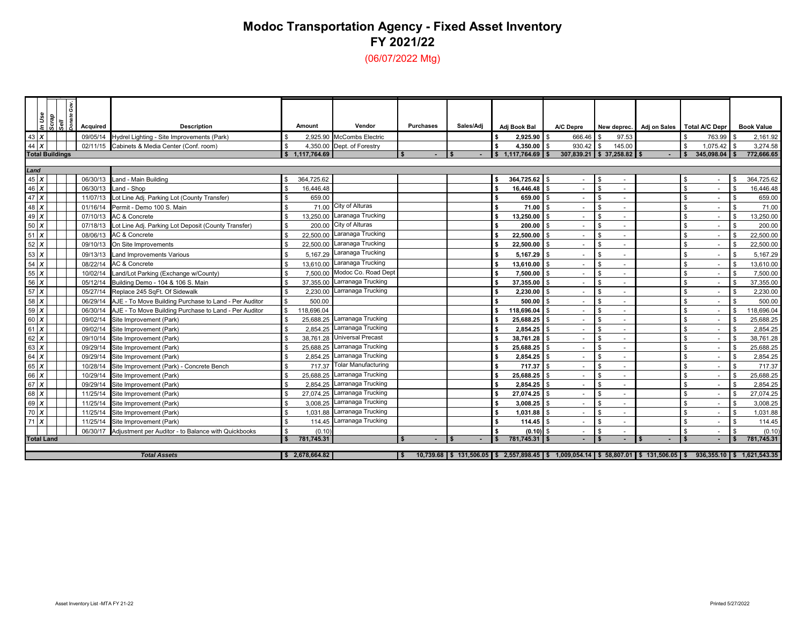## **Modoc Transportation Agency - Fixed Asset Inventory FY 2021/22**(06/07/2022 Mtg)

*Scrap Sell Donate Gov. In Use* **Amount Vendor Purchases Sales/Adj Adj Book Bal A/C Depre New deprec. Adj on Sales Total A/C Depr Book Value** *p* **Acquired Description** 43 *X*09/05/14 Hydrel Lighting - Site Improvements (Park) **3. 2.925.90** McCombs Electric **1 1 5 2,925.90** \$ 666.46 \$ 97.53 \$ 763.99 \$ 2,161.92 44 *X*02/11/15 Cabinets & Media Center (Conf. room) \$ 4,350.00 Dept. of Forestry **\$ 4,350.00** \$ 930.42 \$ 145.00 \$ 930.42 \$ 1,075.42 \$ 1,075.42 \$ 3,274.58 \$ 3,274.58 \$ 3,274.58 \$ 1,177.764.69 \$ 1,177.764.69 \$ 37,258.82 \$ - \$ 345, **Total Buildings \$ - 1,117,764.69 \$ - \$ 1, \$ 307,839.21 117,764.69 \$ 37,258.82 \$ - \$ 345, \$ 772,666.65 098.04 \$**  *Land* 45 *X* 06/30/13 Land - Main Building \$ 364,725.62 **\$ 364,725.62** \$ - - \$ - \$ 364, \$ 725.62 46 *X***06/30/13 Land - Shop 16,446.48 \$ 16,446.48 \$ 16,446.48 \$ - \$ - \$ 16,446.48 \$ - \$ 16,446.48 \$ - \$ 16,446.48 \$ - \$ 16,446.48 \$ - \$ 16,446.48 \$ - \$ 16,446.48 \$ - \$ 16,446.48 \$ - \$ 16,446.48 \$ - \$ 16,446.48 \$ - \$ 16,446.48 \$** 47 *X*11/07/13 Lot Line Adj. Parking Lot (County Transfer) **\$** 659.00<br>11/16/14 Permit - Demo 100 S. Main **by a struck of the Struck County Transfer**) **\$** 659.00 **\$** - \$ - \$ 659.00 \$ - \$ - \$ 659.00 \$ - \$ 659.00 \$ - \$ 659.00 \$ - \$ 48 *X*01/16/14 Permit - Demo 100 S. Main **but a contract to the State of State 10** State of City of Alturas **but a contract to the State 100** S. Main **but a contract in State 100** S. Main **but a state 100** S. Main **but a state o** 49 *X* 07/10/13 AC & Concrete \$ 13,250.00 Laranaga Trucking **\$ 13,250.00** \$ - - \$ - \$ 13,250.00 \$ 50 *X*07/18/13 Lot Line Adj. Parking Lot Deposit (County Transfer) \$ 200.00 City of Alturas **\$ 200.00 \$** - \$ - \$ 200.00 51 *X* $\textbf{X}$  | | 08/06/13 AC & Concrete \$ 22,500.00 Laranaga Trucking \$ 22,500.00 S - S - N - N - N - S 22,500.00 52 *X***x | | |** 09/10/13 On Site Improvements \$ 22,500.00 Laranaga Trucking \$ 22,500.00 **\$** \$ - N\$ 22,500.00 53 *X***x** | | | 09/13/13 Land Improvements Various **\$ 5,167.29** Laranaga Trucking **\$ 5,167.29 \$ 5,167.29** \$ - \$ 5,167.29 54 *X* 08/22/14 AC & Concrete \$ 13,610.00 Laranaga Trucking **\$ 13,610.00** \$ - - \$ - \$ 13,610.00 \$ 55 *X*10/02/14 Land/Lot Parking (Exchange w/County) **\$ 7,500.00** Modoc Co. Road Dept **\$ 7,500.00** \$ - \$ - \$ 7,500.00 56 *X*05/12/14 Building Demo - 104 & 106 S. Main **\$ 37,355.00** Larranaga Trucking **\$ 37,355.00 \$** - \$ - \$ 37,355.00 57 *X*05/27/14 Replace 245 SqFt. Of Sidewalk **\$** 2,230.00 Larranaga Trucking **\$ 2,230.00 \$** - \$ - \$ 2,230.00 58 *X*06/29/14 AJE - To Move Building Purchase to Land - Per Auditor **\$ 500.00 \$ 500.00 \$ 500.00 \$ - \$ - \$ 500.00** \$ - \$ 500.00 59 *X*06/30/14 AJE - To Move Building Purchase to Land - Per Auditor \$ 118,696.04 **\$ 118,696.04** \$ 118,696.04 \$ - \$ 118,696.04 \$ - \$ 118,696.04 60 *X***2** | | 09/02/14 Site Improvement (Park) \$ 25,688.25 **Larranaga Trucking \$ 25,688.25 \$ \$ \$ 35,688.25 \$ \$ \$ \$ \$ 25,688.** 61 *X***2 1** 1 09/02/14 Site Improvement (Park) 2,854.25 \$ 2,854.25 **\$ 2,854.25 \$ 1,954.25** \$ 1,854.25 \$ 1,854.25 \$ 2,854.25 \$ 1,8554.25 62 *X* 09/10/14 Site Improvement (Park) 38,761.28 \$ Universal Precast **\$ 38,761.28** \$ - - \$ - \$ 38,761.28 \$ 63 *X***2** | | 09/29/14 Site Improvement (Park) \$ 25,688.25 **Larranaga Trucking \$ 25,688.25 \$ \$ \$ 35,688.25 \$ \$ \$ \$ \$ 25,688.** 64 *X***09/29/14 Site Improvement (Park)** 2,854.25 \$ 2,854.25 **Larranaga Trucking <b>\$** 2,854.25 \$ - \$ - \$ 2,854.25 \$ - \$ 2,854.25 65 *X*10/28/14 Site Improvement (Park) - Concrete Bench **\$** 717.37 Tolar Manufacturing **\$ 717.37** \$ - \$ - \$ 717.37 66 *X* 10/29/14 Site Improvement (Park) 25,688.25 \$ Larranaga Trucking **\$ 25,688.25** \$ - - \$ - \$ 25,688.25 \$ 67 *X***09/29/14 Site Improvement (Park)** 2,854.25 **\$ 2,854.25 \$ - \$ 2,854.25** \$ - \$ - \$ 2,854.25 \$ - \$ 2,854.25 68 *X* 11/25/14 Site Improvement (Park) 27,074.25 \$ Larranaga Trucking **\$ 27,074.25** \$ - - \$ - \$ 27,074.25 \$ 69 *X* 11/25/14 Site Improvement (Park) 3,008.25 \$ Larranaga Trucking **\$ 3,008.25** \$ - - \$ - \$ 3,008.25 \$ 70 *X* $\textbf{X}$  | | 11/25/14 Site Improvement (Park) \$ 1,031.88  $\textsf{S}$  Larranaga Trucking \$ 1,031.88  $\textsf{S}$  \$ \$ 1,031.88 71 *X***11/25/14 Site Improvement (Park)** 114.45 \$ 114.45 **Larranaga Trucking <b>\$** 114.45 \$ 114.45 \$ - \$ - \$ 114.45 \$ 114.45 06/30/17 Adjustment per Auditor - to Balance with Quickbooks (0.10) (0.10) **\$** (0.10) **\$** - S - S (0.10 **Total Land \$ - 781,745.31 \$ - \$ 781, \$ - 745.31 \$ - \$ - \$ - \$ 781, \$ 745.31** *Total Assets***\$ 10,739.68 2,678,664.82 \$ 131,506.05 \$ 2,557,898.45 \$ 1,009,054.14 \$ 58,807.01 \$ 131,506.05 \$ 936,355.10 \$ 1,621,543.35 \$**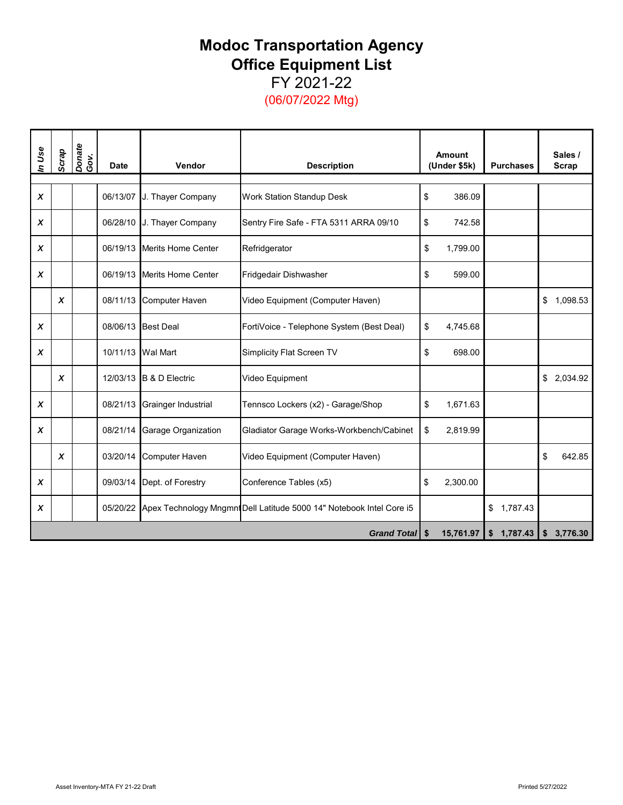## **Modoc Transportation Agency Office Equipment List** FY 2021-22

(06/07/2022 Mtg)

| In Use | Scrap            | Donate<br>Gov. | <b>Date</b> | Vendor                    | <b>Description</b>                                                            |     | <b>Amount</b><br>(Under \$5k) | <b>Purchases</b>         | Sales /<br><b>Scrap</b> |
|--------|------------------|----------------|-------------|---------------------------|-------------------------------------------------------------------------------|-----|-------------------------------|--------------------------|-------------------------|
|        |                  |                |             |                           |                                                                               |     |                               |                          |                         |
| X      |                  |                | 06/13/07    | J. Thayer Company         | <b>Work Station Standup Desk</b>                                              | \$  | 386.09                        |                          |                         |
| X      |                  |                | 06/28/10    | J. Thayer Company         | Sentry Fire Safe - FTA 5311 ARRA 09/10                                        | \$  | 742.58                        |                          |                         |
| X      |                  |                | 06/19/13    | <b>Merits Home Center</b> | Refridgerator                                                                 | \$  | 1,799.00                      |                          |                         |
| X      |                  |                | 06/19/13    | <b>Merits Home Center</b> | Fridgedair Dishwasher                                                         | \$  | 599.00                        |                          |                         |
|        | $\boldsymbol{x}$ |                | 08/11/13    | Computer Haven            | Video Equipment (Computer Haven)                                              |     |                               |                          | \$1,098.53              |
| X      |                  |                | 08/06/13    | <b>Best Deal</b>          | FortiVoice - Telephone System (Best Deal)                                     | \$  | 4,745.68                      |                          |                         |
| X      |                  |                | 10/11/13    | <b>Wal Mart</b>           | Simplicity Flat Screen TV                                                     | \$  | 698.00                        |                          |                         |
|        | X                |                | 12/03/13    | <b>B &amp; D Electric</b> | Video Equipment                                                               |     |                               |                          | \$2,034.92              |
| X      |                  |                | 08/21/13    | Grainger Industrial       | Tennsco Lockers (x2) - Garage/Shop                                            | \$  | 1,671.63                      |                          |                         |
| X      |                  |                | 08/21/14    | Garage Organization       | Gladiator Garage Works-Workbench/Cabinet                                      | \$  | 2,819.99                      |                          |                         |
|        | $\boldsymbol{x}$ |                | 03/20/14    | Computer Haven            | Video Equipment (Computer Haven)                                              |     |                               |                          | \$<br>642.85            |
| X      |                  |                | 09/03/14    | Dept. of Forestry         | Conference Tables (x5)                                                        | \$  | 2,300.00                      |                          |                         |
| X      |                  |                |             |                           | 05/20/22 Apex Technology Mngmnt Dell Latitude 5000 14" Notebook Intel Core i5 |     |                               | \$1,787.43               |                         |
|        |                  |                |             |                           | <b>Grand Total</b>                                                            | -\$ | 15,761.97                     | 1,787.43<br>$\mathsf{s}$ | \$3,776.30              |